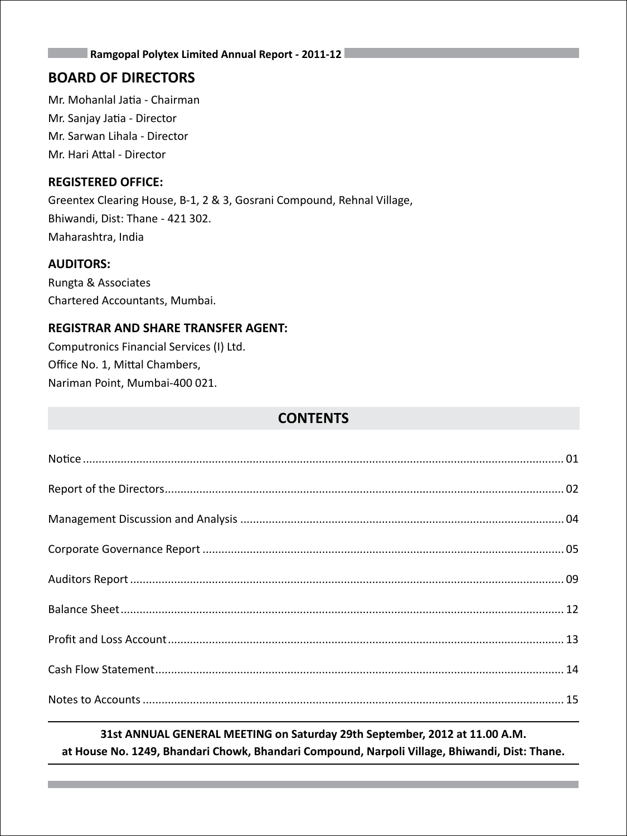### **BOARD OF DIRECTORS**

Mr. Mohanlal Jatia - Chairman Mr. Sanjay Jatia - Director Mr. Sarwan Lihala - Director Mr. Hari Attal - Director

### **REGISTERED OFFICE:**

Greentex Clearing House, B-1, 2 & 3, Gosrani Compound, Rehnal Village, Bhiwandi, Dist: Thane - 421 302. Maharashtra, India

### **AUDITORS:**

Rungta & Associates Chartered Accountants, Mumbai.

### **REGISTRAR AND SHARE TRANSFER AGENT:**

Computronics Financial Services (I) Ltd. Office No. 1, Mittal Chambers, Nariman Point, Mumbai-400 021.

### **CONTENTS**

### **31st ANNUAL GENERAL MEETING on Saturday 29th September, 2012 at 11.00 A.M. at House No. 1249, Bhandari Chowk, Bhandari Compound, Narpoli Village, Bhiwandi, Dist: Thane.**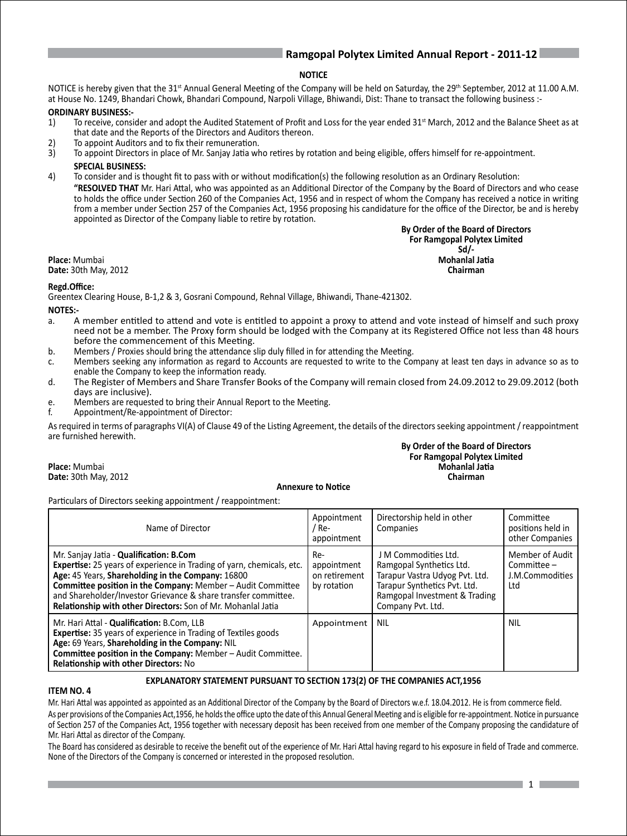### **NOTICE**

NOTICE is hereby given that the 31<sup>st</sup> Annual General Meeting of the Company will be held on Saturday, the 29<sup>th</sup> September, 2012 at 11.00 A.M. at House No. 1249, Bhandari Chowk, Bhandari Compound, Narpoli Village, Bhiwandi, Dist: Thane to transact the following business :-

### **ORDINARY BUSINESS:-**

- 1) To receive, consider and adopt the Audited Statement of Profit and Loss for the year ended 31<sup>st</sup> March, 2012 and the Balance Sheet as at that date and the Reports of the Directors and Auditors thereon.
- 2) To appoint Auditors and to fix their remuneration.
- 3) To appoint Directors in place of Mr. Sanjay Jatia who retires by rotation and being eligible, offers himself for re-appointment. **SPECIAL BUSINESS:**
- 4) To consider and is thought fit to pass with or without modification(s) the following resolution as an Ordinary Resolution: **"RESOLVED THAT** Mr. Hari Attal, who was appointed as an Additional Director of the Company by the Board of Directors and who cease to holds the office under Section 260 of the Companies Act, 1956 and in respect of whom the Company has received a notice in writing from a member under Section 257 of the Companies Act, 1956 proposing his candidature for the office of the Director, be and is hereby appointed as Director of the Company liable to retire by rotation.

 **By Order of the Board of Directors For Ramgopal Polytex Limited** Sd/-<br>Mohanlal Jatia **Place:** Mumbai<br> **Place:** Mumbai<br> **Date:** 30th May 2012

**Date: 30th May, 2012** 

### **Regd.Office:**

Greentex Clearing House, B-1,2 & 3, Gosrani Compound, Rehnal Village, Bhiwandi, Thane-421302.

### **NOTES:-**

- a. A member entitled to attend and vote is entitled to appoint a proxy to attend and vote instead of himself and such proxy need not be a member. The Proxy form should be lodged with the Company at its Registered Office not less than 48 hours before the commencement of this Meeting.
- b. Members / Proxies should bring the attendance slip duly filled in for attending the Meeting.
- c. Members seeking any information as regard to Accounts are requested to write to the Company at least ten days in advance so as to enable the Company to keep the information ready.
- d. The Register of Members and Share Transfer Books of the Company will remain closed from 24.09.2012 to 29.09.2012 (both days are inclusive).
- e. Members are requested to bring their Annual Report to the Meeting.
- Appointment/Re-appointment of Director:

As required in terms of paragraphs VI(A) of Clause 49 of the Listing Agreement, the details of the directors seeking appointment / reappointment are furnished herewith.

### **By Order of the Board of Directors For Ramgopal Polytex Limited Place:** Mumbai**i Mohanlal Jatia Date:** 30th May, 2012 **Chairman**

### **Annexure to Notice**

Particulars of Directors seeking appointment / reappointment:

| Name of Director                                                                                                                                                                                                                                                                                                                                                                     | Appointment<br>/ Re-<br>appointment                | Directorship held in other<br>Companies                                                                                                                                  | Committee<br>positions held in<br>other Companies         |
|--------------------------------------------------------------------------------------------------------------------------------------------------------------------------------------------------------------------------------------------------------------------------------------------------------------------------------------------------------------------------------------|----------------------------------------------------|--------------------------------------------------------------------------------------------------------------------------------------------------------------------------|-----------------------------------------------------------|
| Mr. Sanjay Jatia - Qualification: B.Com<br><b>Expertise:</b> 25 years of experience in Trading of yarn, chemicals, etc.<br>Age: 45 Years, Shareholding in the Company: 16800<br><b>Committee position in the Company:</b> Member - Audit Committee<br>and Shareholder/Investor Grievance & share transfer committee.<br>Relationship with other Directors: Son of Mr. Mohanlal Jatia | Re-<br>appointment<br>on retirement<br>by rotation | J M Commodities Ltd.<br>Ramgopal Synthetics Ltd.<br>Tarapur Vastra Udyog Pvt. Ltd.<br>Tarapur Synthetics Pvt. Ltd.<br>Ramgopal Investment & Trading<br>Company Pvt. Ltd. | Member of Audit<br>$Commitee -$<br>J.M.Commodities<br>Ltd |
| Mr. Hari Attal - Qualification: B.Com, LLB<br><b>Expertise:</b> 35 years of experience in Trading of Textiles goods<br>Age: 69 Years, Shareholding in the Company: NIL<br>Committee position in the Company: Member - Audit Committee.<br>Relationship with other Directors: No                                                                                                      | Appointment                                        | <b>NIL</b>                                                                                                                                                               | <b>NIL</b>                                                |

### **EXPLANATORY STATEMENT PURSUANT TO SECTION 173(2) OF THE COMPANIES ACT,1956**

### **ITEM NO. 4**

Mr. Hari Attal was appointed as appointed as an Additional Director of the Company by the Board of Directors w.e.f. 18.04.2012. He is from commerce field. As per provisions of the Companies Act,1956, he holds the office upto the date of this Annual General Meeting and is eligible for re-appointment. Notice in pursuance of Section 257 of the Companies Act, 1956 together with necessary deposit has been received from one member of the Company proposing the candidature of Mr. Hari Attal as director of the Company.

The Board has considered as desirable to receive the benefit out of the experience of Mr. Hari Attal having regard to his exposure in field of Trade and commerce. None of the Directors of the Company is concerned or interested in the proposed resolution.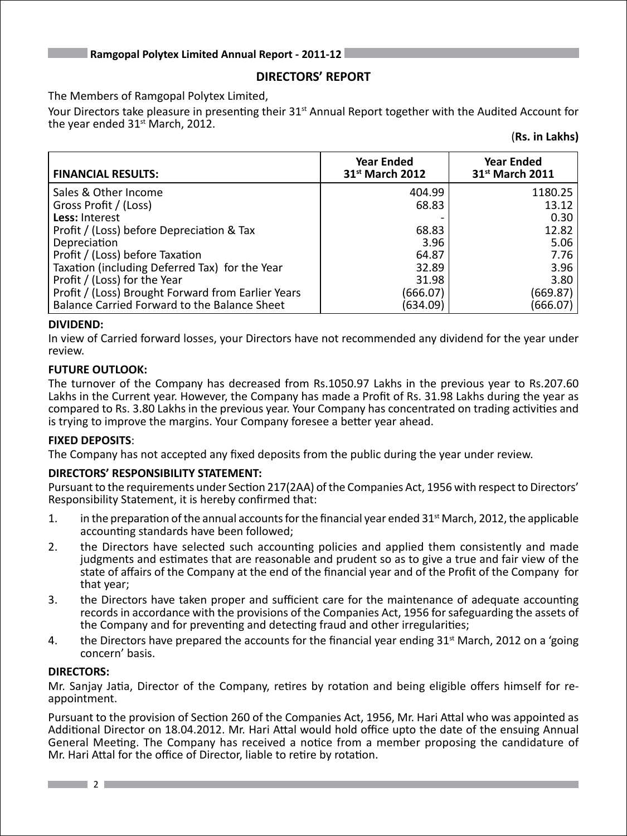### **DIRECTORS' REPORT**

The Members of Ramgopal Polytex Limited,

Your Directors take pleasure in presenting their 31<sup>st</sup> Annual Report together with the Audited Account for the year ended  $31<sup>st</sup>$  March, 2012.

(**Rs. in Lakhs)**

| <b>FINANCIAL RESULTS:</b>                          | <b>Year Ended</b><br>31 <sup>st</sup> March 2012 | <b>Year Ended</b><br>31 <sup>st</sup> March 2011 |
|----------------------------------------------------|--------------------------------------------------|--------------------------------------------------|
| Sales & Other Income                               | 404.99                                           | 1180.25                                          |
| Gross Profit / (Loss)                              | 68.83                                            | 13.12                                            |
| Less: Interest                                     |                                                  | 0.30                                             |
| Profit / (Loss) before Depreciation & Tax          | 68.83                                            | 12.82                                            |
| Depreciation                                       | 3.96                                             | 5.06                                             |
| Profit / (Loss) before Taxation                    | 64.87                                            | 7.76                                             |
| Taxation (including Deferred Tax) for the Year     | 32.89                                            | 3.96                                             |
| Profit / (Loss) for the Year                       | 31.98                                            | 3.80                                             |
| Profit / (Loss) Brought Forward from Earlier Years | (666.07)                                         | (669.87)                                         |
| Balance Carried Forward to the Balance Sheet       | (634.09)                                         | (666.07)                                         |

### **DIVIDEND:**

In view of Carried forward losses, your Directors have not recommended any dividend for the year under review.

### **FUTURE OUTLOOK:**

The turnover of the Company has decreased from Rs.1050.97 Lakhs in the previous year to Rs.207.60 Lakhs in the Current year. However, the Company has made a Profit of Rs. 31.98 Lakhs during the year as compared to Rs. 3.80 Lakhs in the previous year. Your Company has concentrated on trading activities and is trying to improve the margins. Your Company foresee a better year ahead.

### **FIXED DEPOSITS**:

The Company has not accepted any fixed deposits from the public during the year under review.

### **DIRECTORS' RESPONSIBILITY STATEMENT:**

Pursuant to the requirements under Section 217(2AA) of the Companies Act, 1956 with respect to Directors' Responsibility Statement, it is hereby confirmed that:

- 1. in the preparation of the annual accounts for the financial year ended  $31<sup>st</sup>$  March, 2012, the applicable accounting standards have been followed;
- 2. the Directors have selected such accounting policies and applied them consistently and made judgments and estimates that are reasonable and prudent so as to give a true and fair view of the state of affairs of the Company at the end of the financial year and of the Profit of the Company for that year;
- 3. the Directors have taken proper and sufficient care for the maintenance of adequate accounting records in accordance with the provisions of the Companies Act, 1956 for safeguarding the assets of the Company and for preventing and detecting fraud and other irregularities;
- 4. the Directors have prepared the accounts for the financial year ending  $31<sup>st</sup>$  March, 2012 on a 'going concern' basis.

### **DIRECTORS:**

Mr. Sanjay Jatia, Director of the Company, retires by rotation and being eligible offers himself for reappointment.

Pursuant to the provision of Section 260 of the Companies Act, 1956, Mr. Hari Attal who was appointed as Additional Director on 18.04.2012. Mr. Hari Attal would hold office upto the date of the ensuing Annual General Meeting. The Company has received a notice from a member proposing the candidature of Mr. Hari Attal for the office of Director, liable to retire by rotation.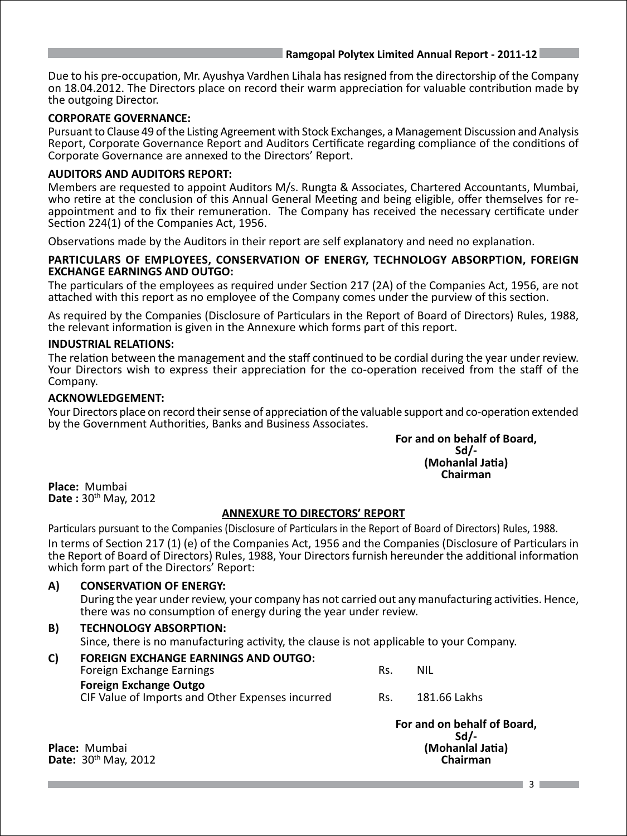Due to his pre-occupation, Mr. Ayushya Vardhen Lihala has resigned from the directorship of the Company on 18.04.2012. The Directors place on record their warm appreciation for valuable contribution made by the outgoing Director.

### **CORPORATE GOVERNANCE:**

Pursuant to Clause 49 of the Listing Agreement with Stock Exchanges, a Management Discussion and Analysis Report, Corporate Governance Report and Auditors Certificate regarding compliance of the conditions of Corporate Governance are annexed to the Directors' Report.

### **AUDITORS AND AUDITORS REPORT:**

Members are requested to appoint Auditors M/s. Rungta & Associates, Chartered Accountants, Mumbai, who retire at the conclusion of this Annual General Meeting and being eligible, offer themselves for reappointment and to fix their remuneration. The Company has received the necessary certificate under Section 224(1) of the Companies Act, 1956.

Observations made by the Auditors in their report are self explanatory and need no explanation.

### **PARTICULARS OF EMPLOYEES, CONSERVATION OF ENERGY, TECHNOLOGY ABSORPTION, FOREIGN EXCHANGE EARNINGS AND OUTGO:**

The particulars of the employees as required under Section 217 (2A) of the Companies Act, 1956, are not attached with this report as no employee of the Company comes under the purview of this section.

As required by the Companies (Disclosure of Particulars in the Report of Board of Directors) Rules, 1988, the relevant information is given in the Annexure which forms part of this report.

### **INDUSTRIAL RELATIONS:**

The relation between the management and the staff continued to be cordial during the year under review. Your Directors wish to express their appreciation for the co-operation received from the staff of the Company.

### **ACKNOWLEDGEMENT:**

Your Directors place on record their sense of appreciation of the valuable support and co-operation extended by the Government Authorities, Banks and Business Associates.

# **For and on behalf of Board,<br>Sd/-**<br>**(Mohanlal Jatia)**<br>Chairman

**Place:** Mumbai **Date :** 30th May, 2012

### **ANNEXURE TO DIRECTORS' REPORT**

Particulars pursuant to the Companies (Disclosure of Particulars in the Report of Board of Directors) Rules, 1988. In terms of Section 217 (1) (e) of the Companies Act, 1956 and the Companies (Disclosure of Particulars in the Report of Board of Directors) Rules, 1988, Your Directors furnish hereunder the additional information which form part of the Directors' Report:

**A) CONSERVATION OF ENERGY:** During the year under review, your company has not carried out any manufacturing activities. Hence, there was no consumption of energy during the year under review. **B) TECHNOLOGY ABSORPTION:** Since, there is no manufacturing activity, the clause is not applicable to your Company.

| C) | <b>FOREIGN EXCHANGE EARNINGS AND OUTGO:</b>                                       |     |              |
|----|-----------------------------------------------------------------------------------|-----|--------------|
|    | Foreign Exchange Earnings                                                         | Rs. | NIL          |
|    | <b>Foreign Exchange Outgo</b><br>CIF Value of Imports and Other Expenses incurred | Rs. | 181.66 Lakhs |
|    |                                                                                   |     |              |

 **For and on behalf of Board, Sd/- Place:** Mumbai<br> **Date:** 30<sup>th</sup> May 2012<br> **Date:** 30<sup>th</sup> May 2012

**Date:** 30<sup>th</sup> May, 2012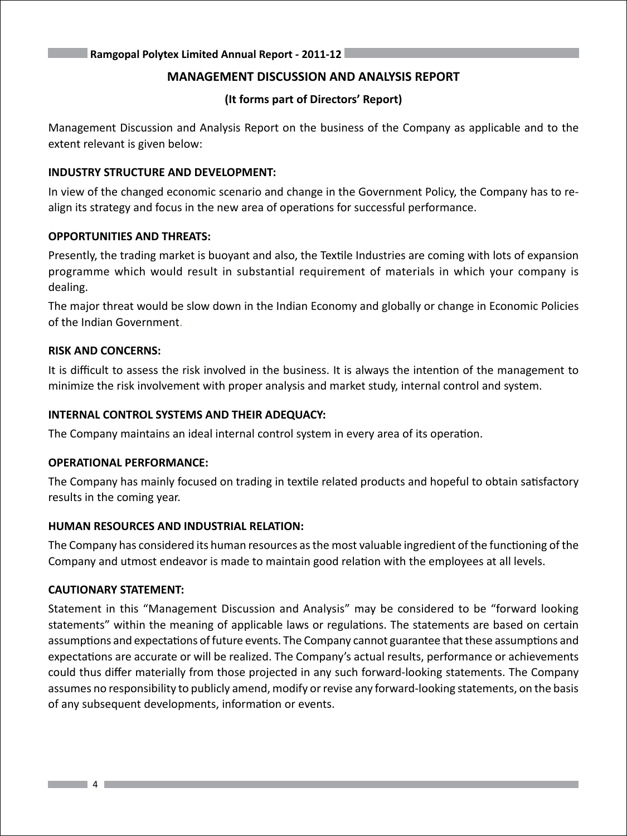### **MANAGEMENT DISCUSSION AND ANALYSIS REPORT**

### **(It forms part of Directors' Report)**

Management Discussion and Analysis Report on the business of the Company as applicable and to the extent relevant is given below:

### **INDUSTRY STRUCTURE AND DEVELOPMENT:**

In view of the changed economic scenario and change in the Government Policy, the Company has to realign its strategy and focus in the new area of operations for successful performance.

### **OPPORTUNITIES AND THREATS:**

Presently, the trading market is buoyant and also, the Textile Industries are coming with lots of expansion programme which would result in substantial requirement of materials in which your company is dealing.

The major threat would be slow down in the Indian Economy and globally or change in Economic Policies of the Indian Government.

### **RISK AND CONCERNS:**

It is difficult to assess the risk involved in the business. It is always the intention of the management to minimize the risk involvement with proper analysis and market study, internal control and system.

### **INTERNAL CONTROL SYSTEMS AND THEIR ADEQUACY:**

The Company maintains an ideal internal control system in every area of its operation.

### **OPERATIONAL PERFORMANCE:**

The Company has mainly focused on trading in textile related products and hopeful to obtain satisfactory results in the coming year.

### **HUMAN RESOURCES AND INDUSTRIAL RELATION:**

The Company has considered its human resources as the most valuable ingredient of the functioning of the Company and utmost endeavor is made to maintain good relation with the employees at all levels.

### **CAUTIONARY STATEMENT:**

Statement in this "Management Discussion and Analysis" may be considered to be "forward looking statements" within the meaning of applicable laws or regulations. The statements are based on certain assumptions and expectations of future events. The Company cannot guarantee that these assumptions and expectations are accurate or will be realized. The Company's actual results, performance or achievements could thus differ materially from those projected in any such forward-looking statements. The Company assumes no responsibility to publicly amend, modify or revise any forward-looking statements, on the basis of any subsequent developments, information or events.

 $\overline{\phantom{a}}$   $\overline{\phantom{a}}$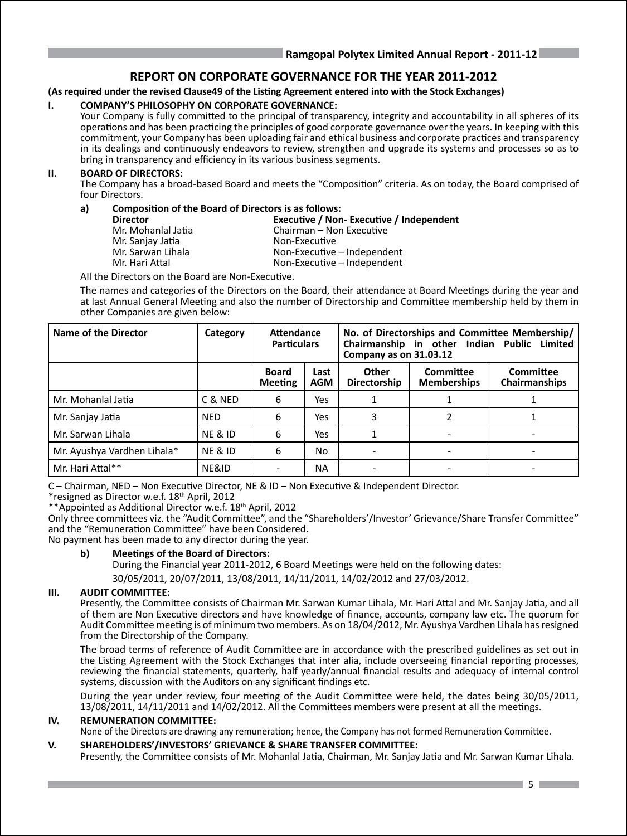### **REPORT ON CORPORATE GOVERNANCE FOR THE YEAR 2011-2012**

### **(As required under the revised Clause49 of the Listing Agreement entered into with the Stock Exchanges)**

### **I. COMPANY'S PHILOSOPHY ON CORPORATE GOVERNANCE:**

Your Company is fully committed to the principal of transparency, integrity and accountability in all spheres of its operations and has been practicing the principles of good corporate governance over the years. In keeping with this commitment, your Company has been uploading fair and ethical business and corporate practices and transparency in its dealings and continuously endeavors to review, strengthen and upgrade its systems and processes so as to bring in transparency and efficiency in its various business segments.

### **II. BOARD OF DIRECTORS:**

The Company has a broad-based Board and meets the "Composition" criteria. As on today, the Board comprised of four Directors.

### **a) Composition of the Board of Directors is as follows:**

- Mr. Sanjay Jatia<br>Mr. Sarwan Lihala
- **Director Executive / Non- Executive / Independent** Mr. Mohanlal Jatia Chairman – Non Executive Mr. Sarwan Lihala **Non-Executive – Independent**<br>Mr. Hari Attal Non-Executive – Independent Non-Executive – Independent

All the Directors on the Board are Non-Executive.

The names and categories of the Directors on the Board, their attendance at Board Meetings during the year and at last Annual General Meeting and also the number of Directorship and Committee membership held by them in other Companies are given below:

| Name of the Director        | Category           | Attendance<br><b>Particulars</b> |                    | Company as on 31.03.12 |                                 | No. of Directorships and Committee Membership/<br>Chairmanship in other Indian Public Limited |
|-----------------------------|--------------------|----------------------------------|--------------------|------------------------|---------------------------------|-----------------------------------------------------------------------------------------------|
|                             |                    | <b>Board</b><br><b>Meeting</b>   | Last<br><b>AGM</b> | Other<br>Directorship  | Committee<br><b>Memberships</b> | Committee<br><b>Chairmanships</b>                                                             |
| Mr. Mohanlal Jatia          | C & NED            | 6                                | Yes                |                        |                                 |                                                                                               |
| Mr. Sanjay Jatia            | <b>NED</b>         | 6                                | Yes                | 3                      | 2                               |                                                                                               |
| Mr. Sarwan Lihala           | <b>NE &amp; ID</b> | 6                                | Yes                |                        |                                 |                                                                                               |
| Mr. Ayushya Vardhen Lihala* | <b>NE &amp; ID</b> | 6                                | No                 |                        |                                 |                                                                                               |
| Mr. Hari Attal**            | NE&ID              | $\overline{\phantom{0}}$         | ΝA                 |                        |                                 |                                                                                               |

C – Chairman, NED – Non Executive Director, NE & ID – Non Executive & Independent Director.

\*resigned as Director w.e.f. 18th April, 2012

\*\*Appointed as Additional Director w.e.f. 18th April, 2012

Only three committees viz. the "Audit Committee", and the "Shareholders'/Investor' Grievance/Share Transfer Committee" and the "Remuneration Committee" have been Considered.

No payment has been made to any director during the year.

### **b) Meetings of the Board of Directors:**

During the Financial year 2011-2012, 6 Board Meetings were held on the following dates: 30/05/2011, 20/07/2011, 13/08/2011, 14/11/2011, 14/02/2012 and 27/03/2012.

### **III. AUDIT COMMITTEE:**

Presently, the Committee consists of Chairman Mr. Sarwan Kumar Lihala, Mr. Hari Attal and Mr. Sanjay Jatia, and all of them are Non Executive directors and have knowledge of finance, accounts, company law etc. The quorum for Audit Committee meeting is of minimum two members. As on 18/04/2012, Mr. Ayushya Vardhen Lihala has resigned from the Directorship of the Company.

The broad terms of reference of Audit Committee are in accordance with the prescribed guidelines as set out in the Listing Agreement with the Stock Exchanges that inter alia, include overseeing financial reporting processes, reviewing the financial statements, quarterly, half yearly/annual financial results and adequacy of internal control systems, discussion with the Auditors on any significant findings etc.

During the year under review, four meeting of the Audit Committee were held, the dates being 30/05/2011, 13/08/2011, 14/11/2011 and 14/02/2012. All the Committees members were present at all the meetings.

### **IV. REMUNERATION COMMITTEE:**

None of the Directors are drawing any remuneration; hence, the Company has not formed Remuneration Committee.

### **V. SHAREHOLDERS'/INVESTORS' GRIEVANCE & SHARE TRANSFER COMMITTEE:**

Presently, the Committee consists of Mr. Mohanlal Jatia, Chairman, Mr. Sanjay Jatia and Mr. Sarwan Kumar Lihala.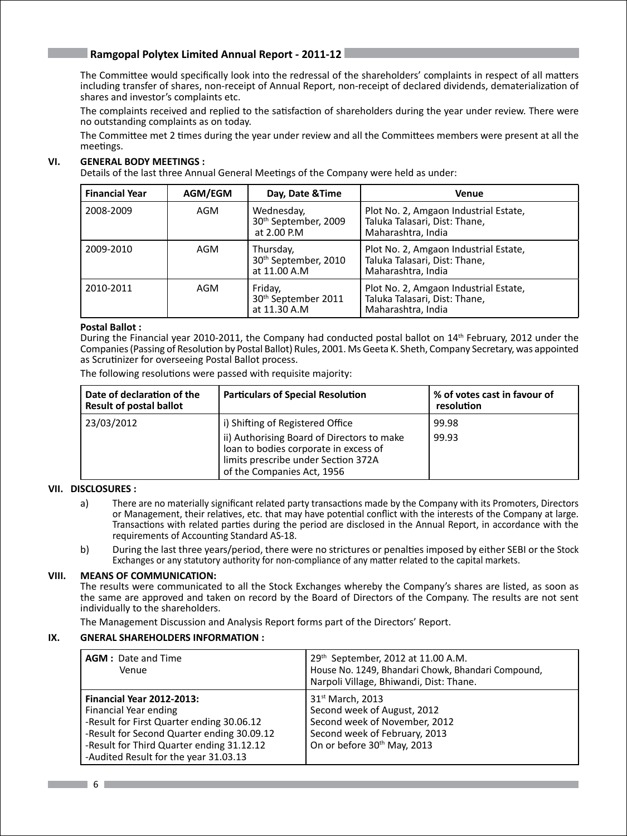The Committee would specifically look into the redressal of the shareholders' complaints in respect of all matters including transfer of shares, non-receipt of Annual Report, non-receipt of declared dividends, dematerialization of shares and investor's complaints etc.

The complaints received and replied to the satisfaction of shareholders during the year under review. There were no outstanding complaints as on today.

The Committee met 2 times during the year under review and all the Committees members were present at all the meetings.

### **VI. GENERAL BODY MEETINGS :**

Details of the last three Annual General Meetings of the Company were held as under:

| <b>Financial Year</b> | AGM/EGM | Day, Date & Time                                              | <b>Venue</b>                                                                                 |
|-----------------------|---------|---------------------------------------------------------------|----------------------------------------------------------------------------------------------|
| 2008-2009             | AGM     | Wednesday,<br>30th September, 2009<br>at 2.00 P.M             | Plot No. 2, Amgaon Industrial Estate,<br>Taluka Talasari, Dist: Thane,<br>Maharashtra, India |
| 2009-2010             | AGM     | Thursday,<br>30 <sup>th</sup> September, 2010<br>at 11.00 A.M | Plot No. 2, Amgaon Industrial Estate,<br>Taluka Talasari, Dist: Thane,<br>Maharashtra, India |
| 2010-2011             | AGM     | Friday,<br>30 <sup>th</sup> September 2011<br>at 11.30 A.M    | Plot No. 2, Amgaon Industrial Estate,<br>Taluka Talasari, Dist: Thane,<br>Maharashtra, India |

### **Postal Ballot :**

During the Financial year 2010-2011, the Company had conducted postal ballot on 14th February, 2012 under the Companies (Passing of Resolution by Postal Ballot) Rules, 2001. Ms Geeta K. Sheth, Company Secretary, was appointed as Scrutinizer for overseeing Postal Ballot process.

The following resolutions were passed with requisite majority:

| Date of declaration of the<br>Result of postal ballot | <b>Particulars of Special Resolution</b>                                                                                                                                                     | % of votes cast in favour of<br>resolution |
|-------------------------------------------------------|----------------------------------------------------------------------------------------------------------------------------------------------------------------------------------------------|--------------------------------------------|
| 23/03/2012                                            | i) Shifting of Registered Office<br>ii) Authorising Board of Directors to make<br>loan to bodies corporate in excess of<br>limits prescribe under Section 372A<br>of the Companies Act, 1956 | 99.98<br>99.93                             |

### **VII. DISCLOSURES :**

- a) There are no materially significant related party transactions made by the Company with its Promoters, Directors or Management, their relatives, etc. that may have potential conflict with the interests of the Company at large. Transactions with related parties during the period are disclosed in the Annual Report, in accordance with the requirements of Accounting Standard AS-18.
- b) During the last three years/period, there were no strictures or penalties imposed by either SEBI or the Stock Exchanges or any statutory authority for non-compliance of any matter related to the capital markets.

### **VIII. MEANS OF COMMUNICATION:**

The results were communicated to all the Stock Exchanges whereby the Company's shares are listed, as soon as the same are approved and taken on record by the Board of Directors of the Company. The results are not sent individually to the shareholders.

The Management Discussion and Analysis Report forms part of the Directors' Report.

### **IX. GNERAL SHAREHOLDERS INFORMATION :**

| <b>AGM: Date and Time</b><br>Venue                                                                                                                                                                                                         | 29th September, 2012 at 11.00 A.M.<br>House No. 1249, Bhandari Chowk, Bhandari Compound,<br>Narpoli Village, Bhiwandi, Dist: Thane.                                      |
|--------------------------------------------------------------------------------------------------------------------------------------------------------------------------------------------------------------------------------------------|--------------------------------------------------------------------------------------------------------------------------------------------------------------------------|
| <b>Financial Year 2012-2013:</b><br>Financial Year ending<br>-Result for First Quarter ending 30.06.12<br>-Result for Second Quarter ending 30.09.12<br>-Result for Third Quarter ending 31.12.12<br>-Audited Result for the year 31.03.13 | 31 <sup>st</sup> March, 2013<br>Second week of August, 2012<br>Second week of November, 2012<br>Second week of February, 2013<br>On or before 30 <sup>th</sup> May, 2013 |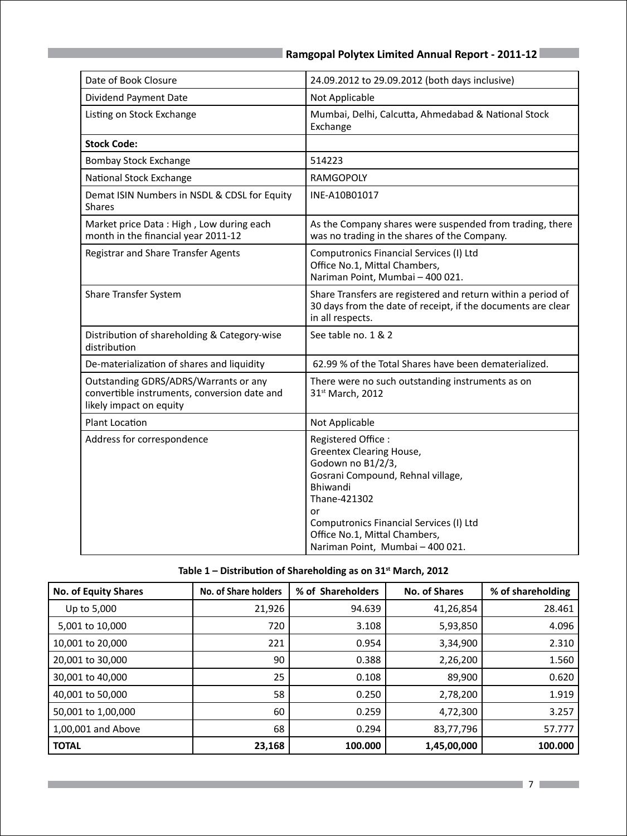| Date of Book Closure                                                                                             | 24.09.2012 to 29.09.2012 (both days inclusive)                                                                                                                                                                                                                    |
|------------------------------------------------------------------------------------------------------------------|-------------------------------------------------------------------------------------------------------------------------------------------------------------------------------------------------------------------------------------------------------------------|
| Dividend Payment Date                                                                                            | Not Applicable                                                                                                                                                                                                                                                    |
| Listing on Stock Exchange                                                                                        | Mumbai, Delhi, Calcutta, Ahmedabad & National Stock<br>Exchange                                                                                                                                                                                                   |
| <b>Stock Code:</b>                                                                                               |                                                                                                                                                                                                                                                                   |
| <b>Bombay Stock Exchange</b>                                                                                     | 514223                                                                                                                                                                                                                                                            |
| National Stock Exchange                                                                                          | <b>RAMGOPOLY</b>                                                                                                                                                                                                                                                  |
| Demat ISIN Numbers in NSDL & CDSL for Equity<br><b>Shares</b>                                                    | INE-A10B01017                                                                                                                                                                                                                                                     |
| Market price Data: High, Low during each<br>month in the financial year 2011-12                                  | As the Company shares were suspended from trading, there<br>was no trading in the shares of the Company.                                                                                                                                                          |
| Registrar and Share Transfer Agents                                                                              | Computronics Financial Services (I) Ltd<br>Office No.1, Mittal Chambers,<br>Nariman Point, Mumbai - 400 021.                                                                                                                                                      |
| Share Transfer System                                                                                            | Share Transfers are registered and return within a period of<br>30 days from the date of receipt, if the documents are clear<br>in all respects.                                                                                                                  |
| Distribution of shareholding & Category-wise<br>distribution                                                     | See table no. 1 & 2                                                                                                                                                                                                                                               |
| De-materialization of shares and liquidity                                                                       | 62.99 % of the Total Shares have been dematerialized.                                                                                                                                                                                                             |
| Outstanding GDRS/ADRS/Warrants or any<br>convertible instruments, conversion date and<br>likely impact on equity | There were no such outstanding instruments as on<br>31st March, 2012                                                                                                                                                                                              |
| <b>Plant Location</b>                                                                                            | Not Applicable                                                                                                                                                                                                                                                    |
| Address for correspondence                                                                                       | Registered Office:<br><b>Greentex Clearing House,</b><br>Godown no B1/2/3,<br>Gosrani Compound, Rehnal village,<br>Bhiwandi<br>Thane-421302<br>or<br>Computronics Financial Services (I) Ltd<br>Office No.1, Mittal Chambers,<br>Nariman Point, Mumbai - 400 021. |

### **Table 1 – Distribution of Shareholding as on 31st March, 2012**

| <b>No. of Equity Shares</b> | No. of Share holders | % of Shareholders | <b>No. of Shares</b> | % of shareholding |
|-----------------------------|----------------------|-------------------|----------------------|-------------------|
| Up to 5,000                 | 21,926               | 94.639            | 41,26,854            | 28.461            |
| 5,001 to 10,000             | 720                  | 3.108             | 5,93,850             | 4.096             |
| 10,001 to 20,000            | 221                  | 0.954             | 3,34,900             | 2.310             |
| 20,001 to 30,000            | 90                   | 0.388             | 2,26,200             | 1.560             |
| 30,001 to 40,000            | 25                   | 0.108             | 89,900               | 0.620             |
| 40,001 to 50,000            | 58                   | 0.250             | 2,78,200             | 1.919             |
| 50,001 to 1,00,000          | 60                   | 0.259             | 4,72,300             | 3.257             |
| 1,00,001 and Above          | 68                   | 0.294             | 83,77,796            | 57.777            |
| <b>TOTAL</b>                | 23,168               | 100.000           | 1,45,00,000          | 100.000           |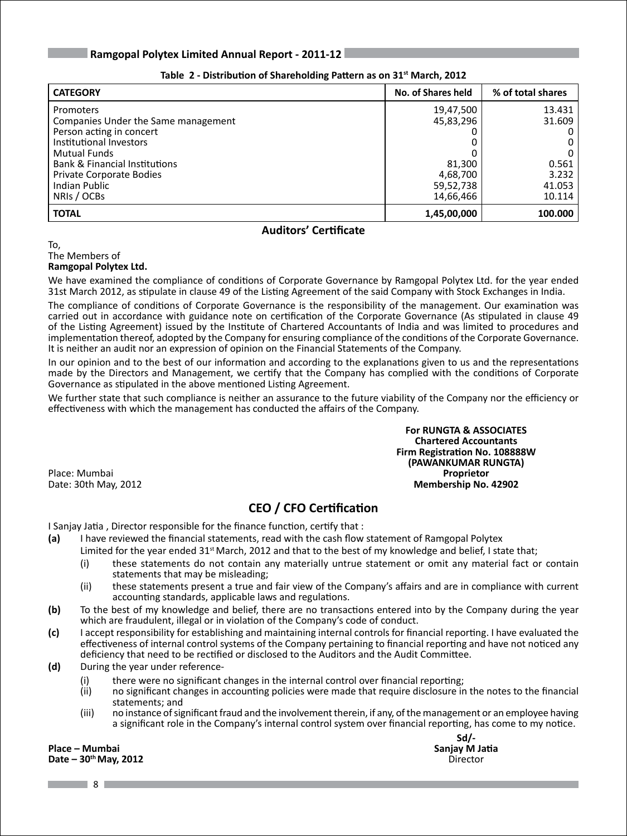| <b>CATEGORY</b>                          | No. of Shares held | % of total shares |
|------------------------------------------|--------------------|-------------------|
| <b>Promoters</b>                         | 19,47,500          | 13.431            |
| Companies Under the Same management      | 45,83,296          | 31.609            |
| Person acting in concert                 |                    |                   |
| Institutional Investors                  | 0                  |                   |
| Mutual Funds                             |                    |                   |
| <b>Bank &amp; Financial Institutions</b> | 81,300             | 0.561             |
| Private Corporate Bodies                 | 4,68,700           | 3.232             |
| <b>Indian Public</b>                     | 59,52,738          | 41.053            |
| NRIS / OCBS                              | 14,66,466          | 10.114            |
| <b>TOTAL</b>                             | 1,45,00,000        | 100.000           |

### **Table 2 - Distribution of Shareholding Pattern as on 31st March, 2012**

### **Auditors' Certificate**

To, The Members of **Ramgopal Polytex Ltd.**

We have examined the compliance of conditions of Corporate Governance by Ramgopal Polytex Ltd. for the year ended 31st March 2012, as stipulate in clause 49 of the Listing Agreement of the said Company with Stock Exchanges in India.

The compliance of conditions of Corporate Governance is the responsibility of the management. Our examination was carried out in accordance with guidance note on certification of the Corporate Governance (As stipulated in clause 49 of the Listing Agreement) issued by the Institute of Chartered Accountants of India and was limited to procedures and implementation thereof, adopted by the Company for ensuring compliance of the conditions of the Corporate Governance. It is neither an audit nor an expression of opinion on the Financial Statements of the Company.

In our opinion and to the best of our information and according to the explanations given to us and the representations made by the Directors and Management, we certify that the Company has complied with the conditions of Corporate Governance as stipulated in the above mentioned Listing Agreement.

We further state that such compliance is neither an assurance to the future viability of the Company nor the efficiency or effectiveness with which the management has conducted the affairs of the Company.

**For RUNGTA & ASSOCIATES Chartered Accountants Firm Registration No. 108888W (PAWANKUMAR RUNGTA)** Date: 30th May, 2012 **Membership No. 42902**

Place: Mumbai **Proprietor**

### **CEO / CFO Certification**

I Sanjay Jatia , Director responsible for the finance function, certify that :

- **(a)** I have reviewed the financial statements, read with the cash flow statement of Ramgopal Polytex
	- Limited for the year ended 31<sup>st</sup> March, 2012 and that to the best of my knowledge and belief, I state that;
	- (i) these statements do not contain any materially untrue statement or omit any material fact or contain statements that may be misleading;
	- (ii) these statements present a true and fair view of the Company's affairs and are in compliance with current accounting standards, applicable laws and regulations.
- **(b)** To the best of my knowledge and belief, there are no transactions entered into by the Company during the year which are fraudulent, illegal or in violation of the Company's code of conduct.
- **(c)** I accept responsibility for establishing and maintaining internal controls for financial reporting. I have evaluated the effectiveness of internal control systems of the Company pertaining to financial reporting and have not noticed any deficiency that need to be rectified or disclosed to the Auditors and the Audit Committee.
- **(d)** During the year under reference-
	- (i) there were no significant changes in the internal control over financial reporting;<br>(ii) on significant changes in accounting policies were made that require disclosure in
	- no significant changes in accounting policies were made that require disclosure in the notes to the financial statements; and
	- (iii) no instance of significant fraud and the involvement therein, if any, of the management or an employee having a significant role in the Company's internal control system over financial reporting, has come to my notice.

**Place – Mumbai Sanjay M** Jatia **Contract Contract Contract Contract Contract Contract Contract Contract Contract Contract Contract Contract Contract Contract Contract Contract Contract Contract Contract Contract Contr** Date – 30<sup>th</sup> May, 2012

**Sd/-**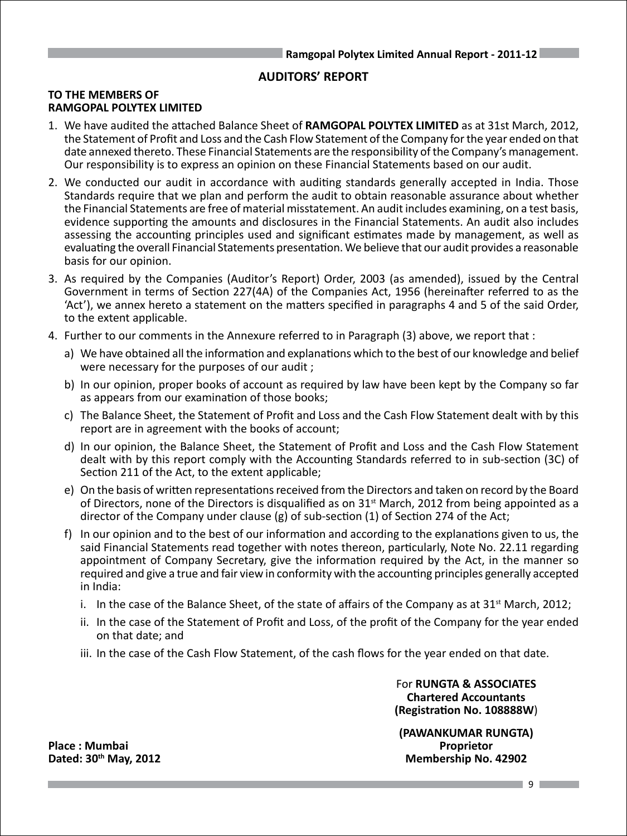### **AUDITORS' REPORT**

### **TO THE MEMBERS OF RAMGOPAL POLYTEX LIMITED**

- 1. We have audited the attached Balance Sheet of **RAMGOPAL POLYTEX LIMITED** as at 31st March, 2012, the Statement of Profit and Loss and the Cash Flow Statement of the Company for the year ended on that date annexed thereto. These Financial Statements are the responsibility of the Company's management. Our responsibility is to express an opinion on these Financial Statements based on our audit.
- 2. We conducted our audit in accordance with auditing standards generally accepted in India. Those Standards require that we plan and perform the audit to obtain reasonable assurance about whether the Financial Statements are free of material misstatement. An audit includes examining, on a test basis, evidence supporting the amounts and disclosures in the Financial Statements. An audit also includes assessing the accounting principles used and significant estimates made by management, as well as evaluating the overall Financial Statements presentation. We believe that our audit provides a reasonable basis for our opinion.
- 3. As required by the Companies (Auditor's Report) Order, 2003 (as amended), issued by the Central Government in terms of Section 227(4A) of the Companies Act, 1956 (hereinafter referred to as the 'Act'), we annex hereto a statement on the matters specified in paragraphs 4 and 5 of the said Order, to the extent applicable.
- 4. Further to our comments in the Annexure referred to in Paragraph (3) above, we report that :
	- a) We have obtained all the information and explanations which to the best of our knowledge and belief were necessary for the purposes of our audit ;
	- b) In our opinion, proper books of account as required by law have been kept by the Company so far as appears from our examination of those books;
	- c) The Balance Sheet, the Statement of Profit and Loss and the Cash Flow Statement dealt with by this report are in agreement with the books of account;
	- d) In our opinion, the Balance Sheet, the Statement of Profit and Loss and the Cash Flow Statement dealt with by this report comply with the Accounting Standards referred to in sub-section (3C) of Section 211 of the Act, to the extent applicable;
	- e) On the basis of written representations received from the Directors and taken on record by the Board of Directors, none of the Directors is disqualified as on  $31<sup>st</sup>$  March, 2012 from being appointed as a director of the Company under clause (g) of sub-section (1) of Section 274 of the Act;
	- f) In our opinion and to the best of our information and according to the explanations given to us, the said Financial Statements read together with notes thereon, particularly, Note No. 22.11 regarding appointment of Company Secretary, give the information required by the Act, in the manner so required and give a true and fair view in conformity with the accounting principles generally accepted in India:
		- i. In the case of the Balance Sheet, of the state of affairs of the Company as at  $31<sup>st</sup>$  March, 2012;
		- ii. In the case of the Statement of Profit and Loss, of the profit of the Company for the year ended on that date; and
		- iii. In the case of the Cash Flow Statement, of the cash flows for the year ended on that date.

For **RUNGTA & ASSOCIATES Chartered Accountants (Registration No. 108888W**)

**(PAWANKUMAR RUNGTA) Dated: 30th May, 2012 Membership No. 42902**

**Place : Mumbai Proprietor**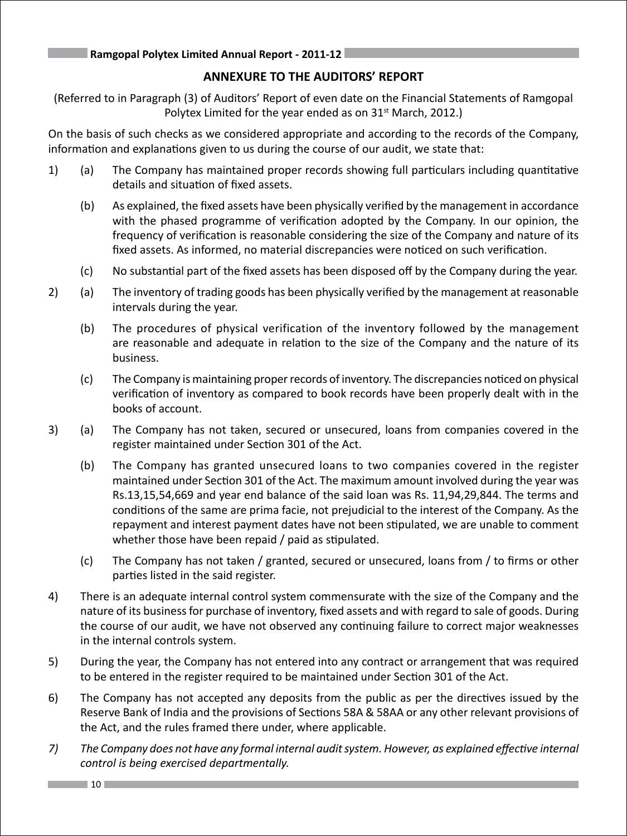### **ANNEXURE TO THE AUDITORS' REPORT**

(Referred to in Paragraph (3) of Auditors' Report of even date on the Financial Statements of Ramgopal Polytex Limited for the year ended as on  $31<sup>st</sup>$  March, 2012.)

On the basis of such checks as we considered appropriate and according to the records of the Company, information and explanations given to us during the course of our audit, we state that:

- 1) (a) The Company has maintained proper records showing full particulars including quantitative details and situation of fixed assets.
	- (b) As explained, the fixed assets have been physically verified by the management in accordance with the phased programme of verification adopted by the Company. In our opinion, the frequency of verification is reasonable considering the size of the Company and nature of its fixed assets. As informed, no material discrepancies were noticed on such verification.
	- (c) No substantial part of the fixed assets has been disposed off by the Company during the year.
- 2) (a) The inventory of trading goods has been physically verified by the management at reasonable intervals during the year.
	- (b) The procedures of physical verification of the inventory followed by the management are reasonable and adequate in relation to the size of the Company and the nature of its business.
	- (c) The Company is maintaining proper records of inventory. The discrepancies noticed on physical verification of inventory as compared to book records have been properly dealt with in the books of account.
- 3) (a) The Company has not taken, secured or unsecured, loans from companies covered in the register maintained under Section 301 of the Act.
	- (b) The Company has granted unsecured loans to two companies covered in the register maintained under Section 301 of the Act. The maximum amount involved during the year was Rs.13,15,54,669 and year end balance of the said loan was Rs. 11,94,29,844. The terms and conditions of the same are prima facie, not prejudicial to the interest of the Company. As the repayment and interest payment dates have not been stipulated, we are unable to comment whether those have been repaid / paid as stipulated.
	- (c) The Company has not taken / granted, secured or unsecured, loans from / to firms or other parties listed in the said register.
- 4) There is an adequate internal control system commensurate with the size of the Company and the nature of its business for purchase of inventory, fixed assets and with regard to sale of goods. During the course of our audit, we have not observed any continuing failure to correct major weaknesses in the internal controls system.
- 5) During the year, the Company has not entered into any contract or arrangement that was required to be entered in the register required to be maintained under Section 301 of the Act.
- 6) The Company has not accepted any deposits from the public as per the directives issued by the Reserve Bank of India and the provisions of Sections 58A & 58AA or any other relevant provisions of the Act, and the rules framed there under, where applicable.
- *7) The Company does not have any formal internal auditsystem. However, as explained effective internal control is being exercised departmentally.*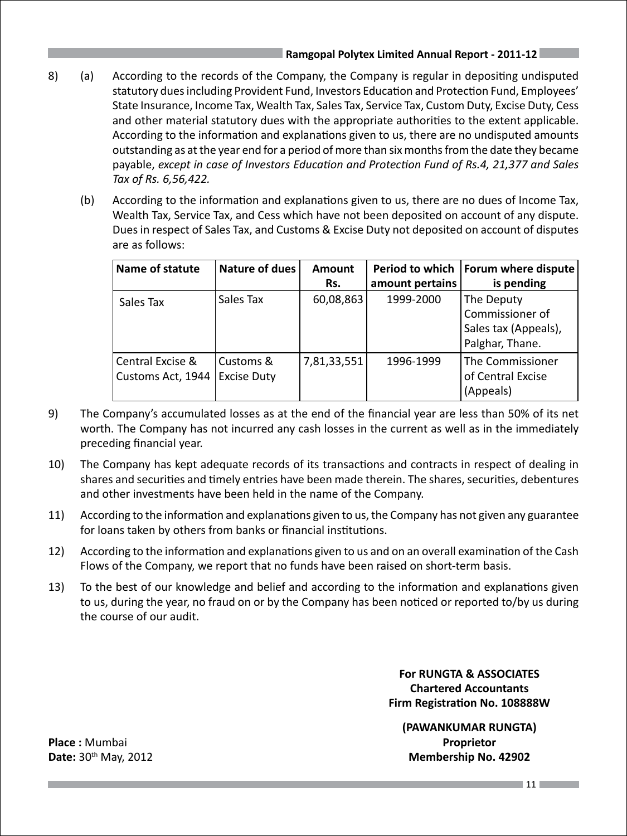- 8) (a) According to the records of the Company, the Company is regular in depositing undisputed statutory dues including Provident Fund, Investors Education and Protection Fund, Employees' State Insurance, Income Tax, Wealth Tax, Sales Tax, Service Tax, Custom Duty, Excise Duty, Cess and other material statutory dues with the appropriate authorities to the extent applicable. According to the information and explanations given to us, there are no undisputed amounts outstanding as at the year end for a period of more than six months from the date they became payable, *except in case of Investors Education and Protection Fund of Rs.4, 21,377 and Sales Tax of Rs. 6,56,422.*
	- (b) According to the information and explanations given to us, there are no dues of Income Tax, Wealth Tax, Service Tax, and Cess which have not been deposited on account of any dispute. Dues in respect of Sales Tax, and Customs & Excise Duty not deposited on account of disputes are as follows:

| Name of statute   | <b>Nature of dues</b> | <b>Amount</b> | Period to which | Forum where dispute  |
|-------------------|-----------------------|---------------|-----------------|----------------------|
|                   |                       | Rs.           | amount pertains | is pending           |
| Sales Tax         | Sales Tax             | 60,08,863     | 1999-2000       | The Deputy           |
|                   |                       |               |                 | Commissioner of      |
|                   |                       |               |                 | Sales tax (Appeals), |
|                   |                       |               |                 | Palghar, Thane.      |
| Central Excise &  | Customs &             | 7,81,33,551   | 1996-1999       | The Commissioner     |
| Customs Act, 1944 | <b>Excise Duty</b>    |               |                 | of Central Excise    |
|                   |                       |               |                 | (Appeals)            |

- 9) The Company's accumulated losses as at the end of the financial year are less than 50% of its net worth. The Company has not incurred any cash losses in the current as well as in the immediately preceding financial year.
- 10) The Company has kept adequate records of its transactions and contracts in respect of dealing in shares and securities and timely entries have been made therein. The shares, securities, debentures and other investments have been held in the name of the Company.
- 11) According to the information and explanations given to us, the Company has not given any guarantee for loans taken by others from banks or financial institutions.
- 12) According to the information and explanations given to us and on an overall examination of the Cash Flows of the Company, we report that no funds have been raised on short-term basis.
- 13) To the best of our knowledge and belief and according to the information and explanations given to us, during the year, no fraud on or by the Company has been noticed or reported to/by us during the course of our audit.

 **For RUNGTA & ASSOCIATES Chartered Accountants Firm Registration No. 108888W**

 **(PAWANKUMAR RUNGTA) Date:** 30th May, 2012 **Membership No. 42902**

**Place :** Mumbai **Proprietor**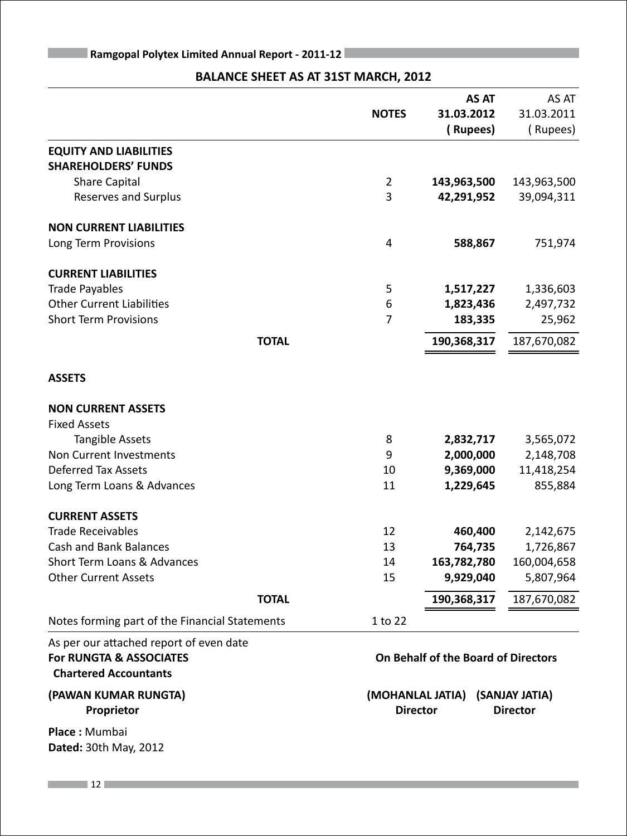### **BALANCE SHEET AS AT 31ST MARCH, 2012**

|                                                                                                               |              | <b>AS AT</b><br><b>NOTES</b><br>31.03.2012 | AS AT<br>31.03.2011 |
|---------------------------------------------------------------------------------------------------------------|--------------|--------------------------------------------|---------------------|
|                                                                                                               |              | (Rupees)                                   | (Rupees)            |
| <b>EQUITY AND LIABILITIES</b>                                                                                 |              |                                            |                     |
| <b>SHAREHOLDERS' FUNDS</b>                                                                                    |              |                                            |                     |
| <b>Share Capital</b>                                                                                          |              | $\overline{2}$<br>143,963,500              | 143,963,500         |
| <b>Reserves and Surplus</b>                                                                                   |              | 3<br>42,291,952                            | 39,094,311          |
| <b>NON CURRENT LIABILITIES</b>                                                                                |              |                                            |                     |
| Long Term Provisions                                                                                          |              | 588,867<br>4                               | 751,974             |
| <b>CURRENT LIABILITIES</b>                                                                                    |              |                                            |                     |
| <b>Trade Payables</b>                                                                                         |              | 5<br>1,517,227                             | 1,336,603           |
| <b>Other Current Liabilities</b>                                                                              |              | 6<br>1,823,436                             | 2,497,732           |
| <b>Short Term Provisions</b>                                                                                  |              | $\overline{7}$<br>183,335                  | 25,962              |
|                                                                                                               | <b>TOTAL</b> | 190,368,317                                | 187,670,082         |
| <b>ASSETS</b>                                                                                                 |              |                                            |                     |
| <b>NON CURRENT ASSETS</b>                                                                                     |              |                                            |                     |
| <b>Fixed Assets</b>                                                                                           |              |                                            |                     |
| <b>Tangible Assets</b>                                                                                        |              | 8<br>2,832,717                             | 3,565,072           |
| Non Current Investments                                                                                       |              | 9<br>2,000,000                             | 2,148,708           |
| <b>Deferred Tax Assets</b>                                                                                    |              | 9,369,000<br>10                            | 11,418,254          |
| Long Term Loans & Advances                                                                                    |              | 11<br>1,229,645                            | 855,884             |
| <b>CURRENT ASSETS</b>                                                                                         |              |                                            |                     |
| <b>Trade Receivables</b>                                                                                      |              | 12<br>460,400                              | 2,142,675           |
| <b>Cash and Bank Balances</b>                                                                                 |              | 13<br>764,735                              | 1,726,867           |
| Short Term Loans & Advances                                                                                   |              | 163,782,780<br>14                          | 160,004,658         |
| <b>Other Current Assets</b>                                                                                   |              | 15<br>9,929,040                            | 5,807,964           |
|                                                                                                               | <b>TOTAL</b> | 190,368,317                                | 187,670,082         |
| Notes forming part of the Financial Statements                                                                |              | 1 to 22                                    |                     |
| As per our attached report of even date<br><b>For RUNGTA &amp; ASSOCIATES</b><br><b>Chartered Accountants</b> |              | On Behalf of the Board of Directors        |                     |

**Place :** Mumbai **Dated:** 30th May, 2012

**(PAWAN KUMAR RUNGTA) (MOHANLAL JATIA) (SANJAY JATIA) Proprietor Director Director Director Director**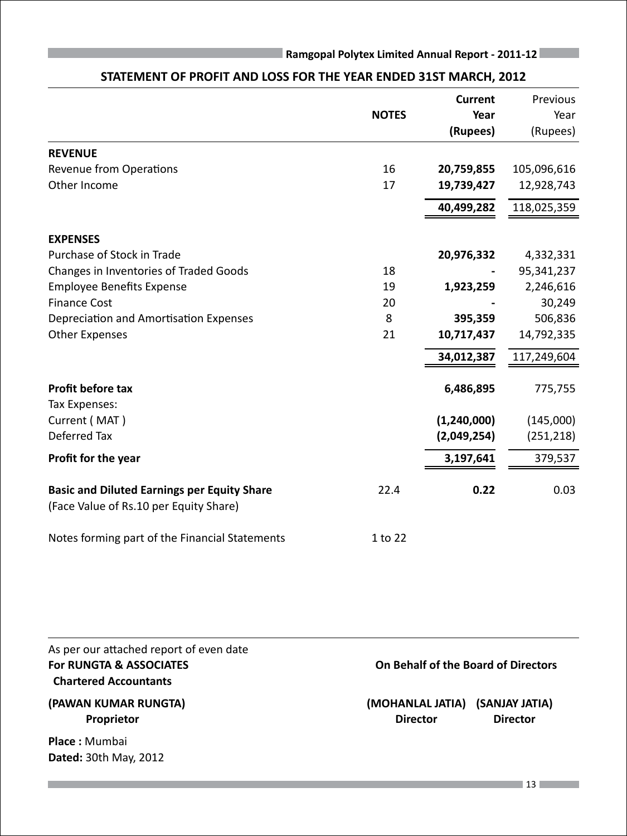|                                                                                              |              | <b>Current</b>   | Previous         |
|----------------------------------------------------------------------------------------------|--------------|------------------|------------------|
|                                                                                              | <b>NOTES</b> | Year<br>(Rupees) | Year<br>(Rupees) |
| <b>REVENUE</b>                                                                               |              |                  |                  |
| Revenue from Operations                                                                      | 16           | 20,759,855       | 105,096,616      |
| Other Income                                                                                 | 17           | 19,739,427       | 12,928,743       |
|                                                                                              |              | 40,499,282       | 118,025,359      |
| <b>EXPENSES</b>                                                                              |              |                  |                  |
| Purchase of Stock in Trade                                                                   |              | 20,976,332       | 4,332,331        |
| Changes in Inventories of Traded Goods                                                       | 18           |                  | 95,341,237       |
| <b>Employee Benefits Expense</b>                                                             | 19           | 1,923,259        | 2,246,616        |
| <b>Finance Cost</b>                                                                          | 20           |                  | 30,249           |
| Depreciation and Amortisation Expenses                                                       | 8            | 395,359          | 506,836          |
| <b>Other Expenses</b>                                                                        | 21           | 10,717,437       | 14,792,335       |
|                                                                                              |              | 34,012,387       | 117,249,604      |
| Profit before tax                                                                            |              | 6,486,895        | 775,755          |
| Tax Expenses:                                                                                |              |                  |                  |
| Current (MAT)                                                                                |              | (1, 240, 000)    | (145,000)        |
| Deferred Tax                                                                                 |              | (2,049,254)      | (251, 218)       |
| Profit for the year                                                                          |              | 3,197,641        | 379,537          |
| <b>Basic and Diluted Earnings per Equity Share</b><br>(Face Value of Rs.10 per Equity Share) | 22.4         | 0.22             | 0.03             |
| Notes forming part of the Financial Statements                                               | 1 to 22      |                  |                  |

### **STATEMENT OF PROFIT AND LOSS FOR THE YEAR ENDED 31ST MARCH, 2012**

| As per our attached report of even date<br>For RUNGTA & ASSOCIATES<br><b>Chartered Accountants</b> | On Behalf of the Board of Directors                                      |
|----------------------------------------------------------------------------------------------------|--------------------------------------------------------------------------|
| (PAWAN KUMAR RUNGTA)<br>Proprietor                                                                 | (MOHANLAL JATIA)<br>(SANJAY JATIA)<br><b>Director</b><br><b>Director</b> |
| <b>Place:</b> Mumbai<br><b>Dated: 30th May, 2012</b>                                               |                                                                          |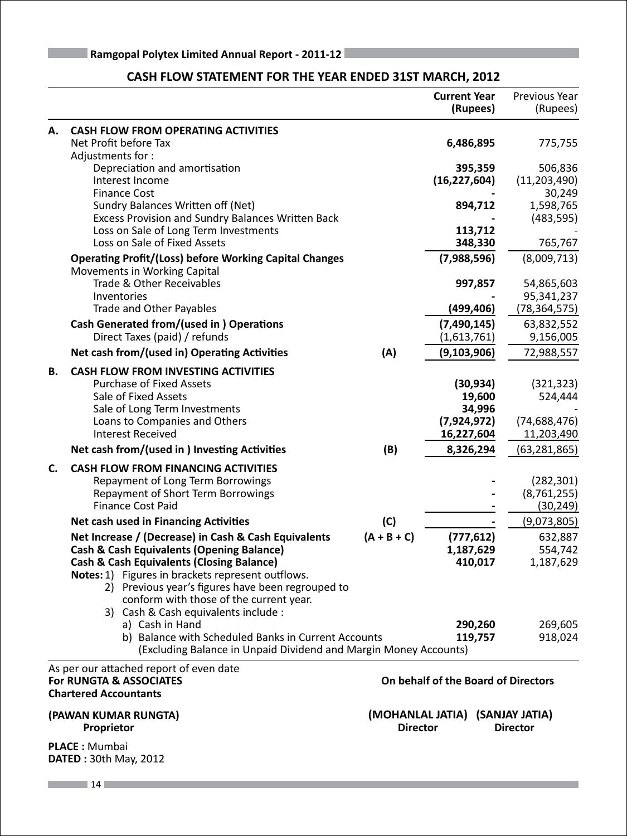|    |                                                                                               |                                     | <b>Current Year</b><br>(Rupees)     | Previous Year<br>(Rupees)         |
|----|-----------------------------------------------------------------------------------------------|-------------------------------------|-------------------------------------|-----------------------------------|
| А. | <b>CASH FLOW FROM OPERATING ACTIVITIES</b>                                                    |                                     |                                     |                                   |
|    | Net Profit before Tax<br>Adjustments for:                                                     |                                     | 6,486,895                           | 775,755                           |
|    | Depreciation and amortisation                                                                 |                                     | 395,359                             | 506,836                           |
|    | Interest Income                                                                               |                                     | (16, 227, 604)                      | (11, 203, 490)                    |
|    | <b>Finance Cost</b>                                                                           |                                     |                                     | 30,249                            |
|    | Sundry Balances Written off (Net)                                                             |                                     | 894,712                             | 1,598,765                         |
|    | Excess Provision and Sundry Balances Written Back                                             |                                     |                                     | (483, 595)                        |
|    | Loss on Sale of Long Term Investments                                                         |                                     | 113,712                             |                                   |
|    | Loss on Sale of Fixed Assets                                                                  |                                     | 348,330                             | 765,767                           |
|    | <b>Operating Profit/(Loss) before Working Capital Changes</b><br>Movements in Working Capital |                                     | (7,988,596)                         | (8,009,713)                       |
|    | Trade & Other Receivables                                                                     |                                     | 997,857                             | 54,865,603                        |
|    | Inventories                                                                                   |                                     |                                     | 95,341,237                        |
|    | Trade and Other Payables                                                                      |                                     | (499,406)                           | (78,364,575)                      |
|    | <b>Cash Generated from/(used in) Operations</b>                                               |                                     | (7, 490, 145)                       | 63,832,552                        |
|    | Direct Taxes (paid) / refunds                                                                 |                                     | (1,613,761)                         | 9,156,005                         |
|    | Net cash from/(used in) Operating Activities                                                  | (A)                                 | (9, 103, 906)                       | 72,988,557                        |
| В. | <b>CASH FLOW FROM INVESTING ACTIVITIES</b>                                                    |                                     |                                     |                                   |
|    | <b>Purchase of Fixed Assets</b>                                                               |                                     | (30, 934)                           | (321, 323)                        |
|    | Sale of Fixed Assets                                                                          |                                     | 19,600                              | 524,444                           |
|    | Sale of Long Term Investments                                                                 |                                     | 34,996                              |                                   |
|    | Loans to Companies and Others                                                                 |                                     | (7,924,972)                         | (74, 688, 476)                    |
|    | <b>Interest Received</b>                                                                      |                                     | 16,227,604                          | 11,203,490                        |
|    | Net cash from/(used in ) Investing Activities                                                 | (B)                                 | 8,326,294                           | (63, 281, 865)                    |
| C. | <b>CASH FLOW FROM FINANCING ACTIVITIES</b>                                                    |                                     |                                     |                                   |
|    | Repayment of Long Term Borrowings                                                             |                                     |                                     | (282, 301)                        |
|    | Repayment of Short Term Borrowings                                                            |                                     |                                     | (8, 761, 255)                     |
|    | <b>Finance Cost Paid</b>                                                                      |                                     |                                     | (30, 249)                         |
|    | Net cash used in Financing Activities                                                         | (C)                                 |                                     | (9,073,805)                       |
|    | Net Increase / (Decrease) in Cash & Cash Equivalents                                          | $(A + B + C)$                       | (777, 612)                          | 632,887                           |
|    | <b>Cash &amp; Cash Equivalents (Opening Balance)</b>                                          |                                     | 1,187,629                           | 554,742                           |
|    | <b>Cash &amp; Cash Equivalents (Closing Balance)</b>                                          |                                     | 410,017                             | 1,187,629                         |
|    | Notes: 1) Figures in brackets represent outflows.                                             |                                     |                                     |                                   |
|    | 2) Previous year's figures have been regrouped to                                             |                                     |                                     |                                   |
|    | conform with those of the current year.                                                       |                                     |                                     |                                   |
|    | 3) Cash & Cash equivalents include :                                                          |                                     |                                     |                                   |
|    | a) Cash in Hand<br>b) Balance with Scheduled Banks in Current Accounts                        |                                     | 290,260<br>119,757                  | 269,605<br>918,024                |
|    | (Excluding Balance in Unpaid Dividend and Margin Money Accounts)                              |                                     |                                     |                                   |
|    | As per our attached report of even date                                                       |                                     |                                     |                                   |
|    | <b>For RUNGTA &amp; ASSOCIATES</b>                                                            |                                     | On behalf of the Board of Directors |                                   |
|    | <b>Chartered Accountants</b>                                                                  |                                     |                                     |                                   |
|    |                                                                                               |                                     |                                     |                                   |
|    | (PAWAN KUMAR RUNGTA)<br>Proprietor                                                            | (MOHANLAL JATIA)<br><b>Director</b> |                                     | (SANJAY JATIA)<br><b>Director</b> |

### **CASH FLOW STATEMENT FOR THE YEAR ENDED 31ST MARCH, 2012**

**PLACE :** Mumbai **DATED :** 30th May, 2012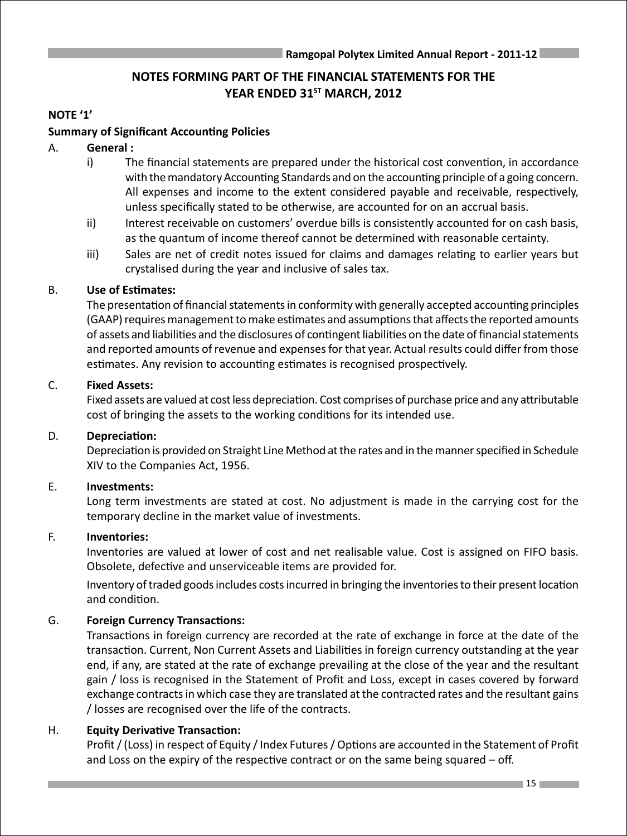### **NOTES FORMING PART OF THE FINANCIAL STATEMENTS FOR THE** YEAR ENDED 31<sup>ST</sup> MARCH, 2012

### **NOTE '1'**

### **Summary of Significant Accounting Policies**

### A. **General :**

- i) The financial statements are prepared under the historical cost convention, in accordance with the mandatory Accounting Standards and on the accounting principle of a going concern. All expenses and income to the extent considered payable and receivable, respectively, unless specifically stated to be otherwise, are accounted for on an accrual basis.
- ii) Interest receivable on customers' overdue bills is consistently accounted for on cash basis, as the quantum of income thereof cannot be determined with reasonable certainty.
- iii) Sales are net of credit notes issued for claims and damages relating to earlier years but crystalised during the year and inclusive of sales tax.

### B. **Use of Estimates:**

The presentation of financial statements in conformity with generally accepted accounting principles (GAAP) requires management to make estimates and assumptions that affects the reported amounts of assets and liabilities and the disclosures of contingent liabilities on the date of financial statements and reported amounts of revenue and expenses for that year. Actual results could differ from those estimates. Any revision to accounting estimates is recognised prospectively.

### C. **Fixed Assets:**

Fixed assets are valued at cost less depreciation. Cost comprises of purchase price and any attributable cost of bringing the assets to the working conditions for its intended use.

### D. **Depreciation:**

Depreciation is provided on Straight Line Method at the rates and in the manner specified in Schedule XIV to the Companies Act, 1956.

### E. **Investments:**

Long term investments are stated at cost. No adjustment is made in the carrying cost for the temporary decline in the market value of investments.

### F. **Inventories:**

Inventories are valued at lower of cost and net realisable value. Cost is assigned on FIFO basis. Obsolete, defective and unserviceable items are provided for.

Inventory of traded goods includes costs incurred in bringing the inventories to their present location and condition.

### G. **Foreign Currency Transactions:**

Transactions in foreign currency are recorded at the rate of exchange in force at the date of the transaction. Current, Non Current Assets and Liabilities in foreign currency outstanding at the year end, if any, are stated at the rate of exchange prevailing at the close of the year and the resultant gain / loss is recognised in the Statement of Profit and Loss, except in cases covered by forward exchange contracts in which case they are translated at the contracted rates and the resultant gains / losses are recognised over the life of the contracts.

### H. **Equity Derivative Transaction:**

Profit / (Loss) in respect of Equity / Index Futures / Options are accounted in the Statement of Profit and Loss on the expiry of the respective contract or on the same being squared – off.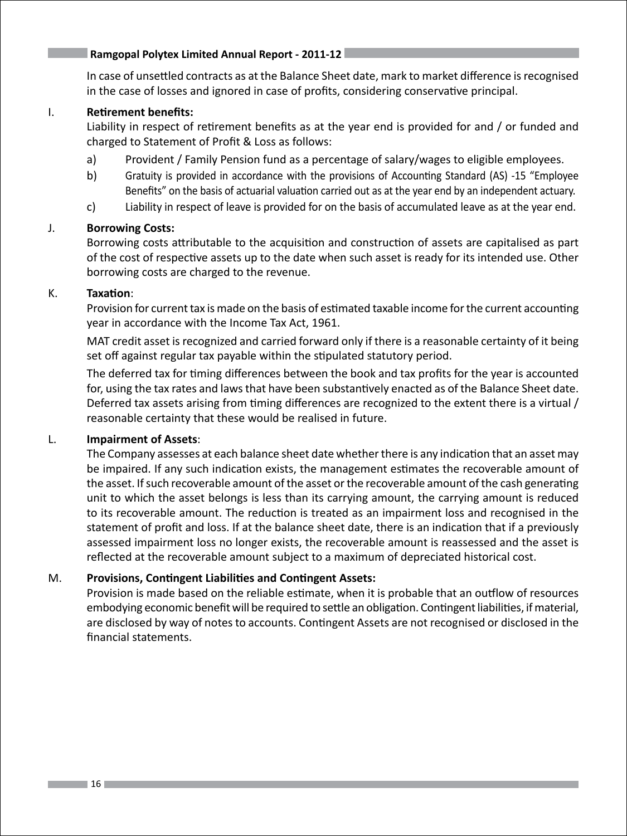In case of unsettled contracts as at the Balance Sheet date, mark to market difference is recognised in the case of losses and ignored in case of profits, considering conservative principal.

### I. **Retirement benefits:**

Liability in respect of retirement benefits as at the year end is provided for and / or funded and charged to Statement of Profit & Loss as follows:

- a) Provident / Family Pension fund as a percentage of salary/wages to eligible employees.
- b) Gratuity is provided in accordance with the provisions of Accounting Standard (AS) -15 "Employee Benefits" on the basis of actuarial valuation carried out as at the year end by an independent actuary.
- c) Liability in respect of leave is provided for on the basis of accumulated leave as at the year end.

### J. **Borrowing Costs:**

Borrowing costs attributable to the acquisition and construction of assets are capitalised as part of the cost of respective assets up to the date when such asset is ready for its intended use. Other borrowing costs are charged to the revenue.

### K. **Taxation**:

Provision for current tax is made on the basis of estimated taxable income for the current accounting year in accordance with the Income Tax Act, 1961.

MAT credit asset is recognized and carried forward only if there is a reasonable certainty of it being set off against regular tax payable within the stipulated statutory period.

The deferred tax for timing differences between the book and tax profits for the year is accounted for, using the tax rates and laws that have been substantively enacted as of the Balance Sheet date. Deferred tax assets arising from timing differences are recognized to the extent there is a virtual / reasonable certainty that these would be realised in future.

### L. **Impairment of Assets**:

The Company assesses at each balance sheet date whether there is any indication that an asset may be impaired. If any such indication exists, the management estimates the recoverable amount of the asset. If such recoverable amount of the asset or the recoverable amount of the cash generating unit to which the asset belongs is less than its carrying amount, the carrying amount is reduced to its recoverable amount. The reduction is treated as an impairment loss and recognised in the statement of profit and loss. If at the balance sheet date, there is an indication that if a previously assessed impairment loss no longer exists, the recoverable amount is reassessed and the asset is reflected at the recoverable amount subject to a maximum of depreciated historical cost.

### M. **Provisions, Contingent Liabilities and Contingent Assets:**

Provision is made based on the reliable estimate, when it is probable that an outflow of resources embodying economic benefit will be required to settle an obligation. Contingent liabilities, if material, are disclosed by way of notes to accounts. Contingent Assets are not recognised or disclosed in the financial statements.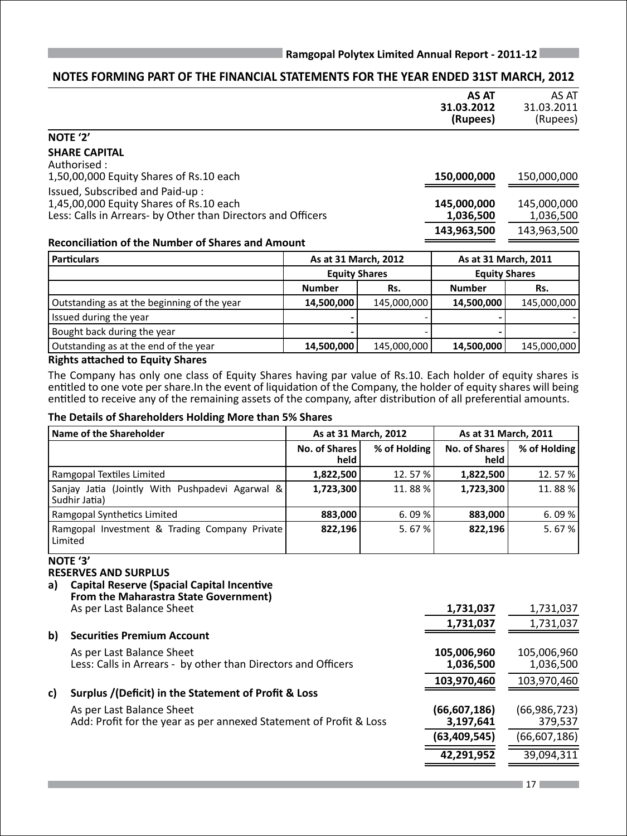### **NOTES FORMING PART OF THE FINANCIAL STATEMENTS FOR THE YEAR ENDED 31ST MARCH, 2012**

|                                                              |                      | AS AT<br>31.03.2012<br>(Rupees) | AS AT<br>31.03.2011<br>(Rupees) |
|--------------------------------------------------------------|----------------------|---------------------------------|---------------------------------|
| NOTE '2'                                                     |                      |                                 |                                 |
| <b>SHARE CAPITAL</b><br>Authorised :                         |                      |                                 |                                 |
| 1,50,00,000 Equity Shares of Rs.10 each                      |                      | 150,000,000                     | 150,000,000                     |
| Issued, Subscribed and Paid-up:                              |                      |                                 |                                 |
| 1,45,00,000 Equity Shares of Rs.10 each                      |                      | 145,000,000                     | 145,000,000                     |
| Less: Calls in Arrears- by Other than Directors and Officers |                      | 1,036,500                       | 1,036,500                       |
|                                                              |                      | 143,963,500                     | 143,963,500                     |
| <b>Reconciliation of the Number of Shares and Amount</b>     |                      |                                 |                                 |
| <b>Particulars</b>                                           | As at 31 March, 2012 | As at 31 March, 2011            |                                 |
|                                                              |                      |                                 |                                 |

|                                             |               | <b>Equity Shares</b> |               | <b>Equity Shares</b> |
|---------------------------------------------|---------------|----------------------|---------------|----------------------|
|                                             | <b>Number</b> | Rs.                  | <b>Number</b> | Rs.                  |
| Outstanding as at the beginning of the year | 14,500,000    | 145,000,000          | 14,500,000    | 145,000,000          |
| Issued during the year                      |               |                      |               |                      |
| Bought back during the year                 |               |                      |               |                      |
| Outstanding as at the end of the year       | 14,500,000    | 145,000,000          | 14,500,000    | 145,000,000          |
|                                             |               |                      |               |                      |

### **Rights attached to Equity Shares**

The Company has only one class of Equity Shares having par value of Rs.10. Each holder of equity shares is entitled to one vote per share.In the event of liquidation of the Company, the holder of equity shares will being entitled to receive any of the remaining assets of the company, after distribution of all preferential amounts.

### **The Details of Shareholders Holding More than 5% Shares**

| Name of the Shareholder                                          | As at 31 March, 2012  |              | As at 31 March, 2011         |              |
|------------------------------------------------------------------|-----------------------|--------------|------------------------------|--------------|
|                                                                  | No. of Shares<br>held | % of Holding | <b>No. of Shares</b><br>held | % of Holding |
| Ramgopal Textiles Limited                                        | 1,822,500             | 12.57%       | 1,822,500                    | 12.57%       |
| Sanjay Jatia (Jointly With Pushpadevi Agarwal &<br>Sudhir Jatia) | 1,723,300             | 11.88%       | 1,723,300                    | 11.88%       |
| Ramgopal Synthetics Limited                                      | 883,000               | 6.09%        | 883,000                      | 6.09%        |
| Ramgopal Investment & Trading Company Private<br>Limited         | 822.196               | 5.67%        | 822.196                      | 5.67%        |

### **NOTE '3'**

### **RESERVES AND SURPLUS**

**a) Capital Reserve (Spacial Capital Incentive From the Maharastra State Government)**

As per Last Balance Sheet **1,731,037** 1,731,037

|     |                                                                                            | 1,731,037                | 1,731,037                |
|-----|--------------------------------------------------------------------------------------------|--------------------------|--------------------------|
| b)  | <b>Securities Premium Account</b>                                                          |                          |                          |
|     | As per Last Balance Sheet<br>Less: Calls in Arrears - by other than Directors and Officers | 105,006,960<br>1,036,500 | 105,006,960<br>1,036,500 |
|     |                                                                                            | 103,970,460              | 103,970,460              |
| c). | Surplus /(Deficit) in the Statement of Profit & Loss                                       |                          |                          |
|     | As per Last Balance Sheet                                                                  | (66, 607, 186)           | (66,986,723)             |
|     | Add: Profit for the year as per annexed Statement of Profit & Loss                         | 3,197,641                | 379,537                  |
|     |                                                                                            | (63,409,545)             | (66, 607, 186)           |
|     |                                                                                            | 42.291.952               | 39,094,311               |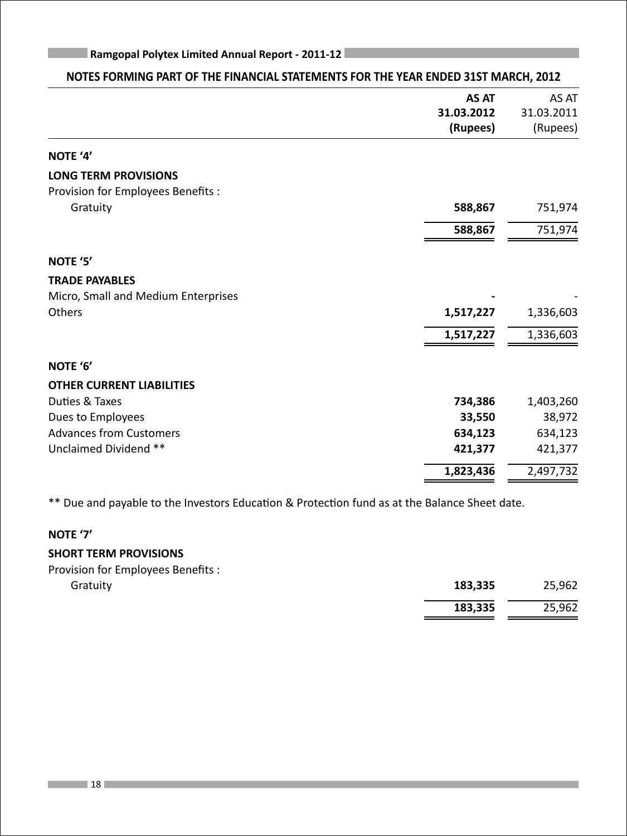| NOTES FORMING PART OF THE FINANCIAL STATEMENTS FOR THE YEAR ENDED 31ST MARCH, 2012 |              |            |
|------------------------------------------------------------------------------------|--------------|------------|
|                                                                                    | <b>AS AT</b> | AS AT      |
|                                                                                    | 31.03.2012   | 31.03.2011 |
|                                                                                    | (Rupees)     | (Rupees)   |
| NOTE '4'                                                                           |              |            |
| <b>LONG TERM PROVISIONS</b>                                                        |              |            |
| Provision for Employees Benefits :                                                 |              |            |
| Gratuity                                                                           | 588,867      | 751,974    |
|                                                                                    | 588,867      | 751,974    |
| NOTE '5'                                                                           |              |            |
| <b>TRADE PAYABLES</b>                                                              |              |            |
| Micro, Small and Medium Enterprises                                                |              |            |
| Others                                                                             | 1,517,227    | 1,336,603  |
|                                                                                    | 1,517,227    | 1,336,603  |
| NOTE '6'                                                                           |              |            |
| <b>OTHER CURRENT LIABILITIES</b>                                                   |              |            |
| Duties & Taxes                                                                     | 734,386      | 1,403,260  |
| Dues to Employees                                                                  | 33,550       | 38,972     |
| <b>Advances from Customers</b>                                                     | 634,123      | 634,123    |
| Unclaimed Dividend **                                                              | 421,377      | 421,377    |
|                                                                                    | 1,823,436    | 2,497,732  |
|                                                                                    |              |            |

\*\* Due and payable to the Investors Education & Protection fund as at the Balance Sheet date.

### **NOTE '7'**

### **SHORT TERM PROVISIONS**

Provision for Employees Benefits :

| Gratuity | 183,335 | 25,962 |
|----------|---------|--------|
|          | 183,335 | 25,962 |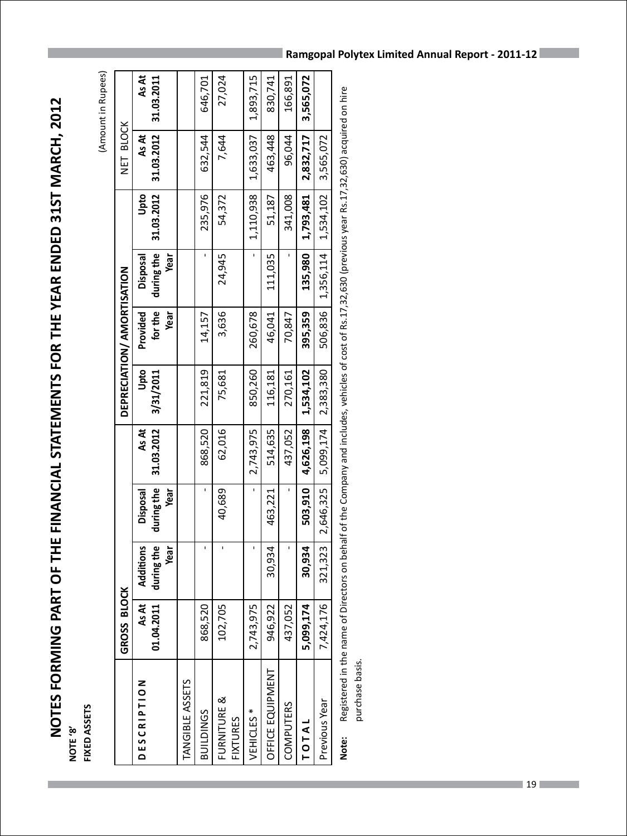# NOTES FORMING PART OF THE FINANCIAL STATEMENTS FOR THE YEAR ENDED 31ST MARCH, 2012 **NOTES FORMING PART OF THE FINANCIAL STATEMENTS FOR THE YEAR ENDED 31ST MARCH, 2012** FIXED ASSETS **FIXED ASSETS NOTE '8'**

(Amount in Rupees) (Amount in Rupees)

|                                | GROSS BLOCK         |                         |                                                                                                                                                                                                                                                                                                                     |                     |                                     | DEPRECIATION/ AMORTISATION |                        |                    | NET BLOCK                                                                                                                                                                                                                                                       |                     |
|--------------------------------|---------------------|-------------------------|---------------------------------------------------------------------------------------------------------------------------------------------------------------------------------------------------------------------------------------------------------------------------------------------------------------------|---------------------|-------------------------------------|----------------------------|------------------------|--------------------|-----------------------------------------------------------------------------------------------------------------------------------------------------------------------------------------------------------------------------------------------------------------|---------------------|
| <b>DESCRIPTION</b>             | As At<br>01.04.2011 | Additions<br>during the | during the<br>Disposal                                                                                                                                                                                                                                                                                              | 31.03.2012<br>As At | Upto<br>3/31/2011                   | for the<br>Provided        | during the<br>Disposal | 31.03.2012<br>Upto | 31.03.2012<br>As At                                                                                                                                                                                                                                             | As At<br>31.03.2011 |
|                                |                     | Year                    | Year                                                                                                                                                                                                                                                                                                                |                     |                                     | Year                       | Year                   |                    |                                                                                                                                                                                                                                                                 |                     |
| TANGIBLE ASSETS                |                     |                         |                                                                                                                                                                                                                                                                                                                     |                     |                                     |                            |                        |                    |                                                                                                                                                                                                                                                                 |                     |
| <b>BUILDINGS</b>               | 868,520             |                         |                                                                                                                                                                                                                                                                                                                     | 868,520             | 221,819                             | 14,157                     |                        | 235,976            | 632,544                                                                                                                                                                                                                                                         | 646,701             |
| FURNITURE &<br><b>FIXTURES</b> | 102,705             |                         | 40,689                                                                                                                                                                                                                                                                                                              | 62,016              | 75,681                              | 3,636                      | 24,945                 | 54,372             | 7,644                                                                                                                                                                                                                                                           | 27,024              |
| VEHICLES <sup>*</sup>          | 2,743,975           |                         |                                                                                                                                                                                                                                                                                                                     | 2,743,975           | 850,260                             | 260,678                    |                        | 1,110,938          | 1,633,037                                                                                                                                                                                                                                                       | 1,893,715           |
| OFFICE EQUIPMENT               | 946,922             | 30,934                  | 463,221                                                                                                                                                                                                                                                                                                             | 514,635             | 116,181                             | 46,041                     | 111,035                | 51,187             | 463,448                                                                                                                                                                                                                                                         | 830,741             |
| <b>COMPUTERS</b>               | 437,052             |                         |                                                                                                                                                                                                                                                                                                                     | 437,052             | 270,161                             | 70,847                     |                        | 341,008            | 96,044                                                                                                                                                                                                                                                          | 166,891             |
| TOTAL                          | 5,099,174           | 30,934                  | 503,910                                                                                                                                                                                                                                                                                                             | 4,626,198           | 1,534,102                           | 395,359                    | 135,980                | 1,793,481          | 2,832,717                                                                                                                                                                                                                                                       | 3,565,072           |
| Previous Year                  | 7,424,176           | 321,323                 | 2,646,325                                                                                                                                                                                                                                                                                                           | 5,099,174           | 2,383,380                           | 506,836                    | 1,356,114              | 1,534,102          | 3,565,072                                                                                                                                                                                                                                                       |                     |
|                                | :<br>י              |                         | $\frac{1}{2}$ $\frac{1}{2}$ $\frac{1}{2}$ $\frac{1}{2}$ $\frac{1}{2}$ $\frac{1}{2}$ $\frac{1}{2}$ $\frac{1}{2}$ $\frac{1}{2}$ $\frac{1}{2}$ $\frac{1}{2}$ $\frac{1}{2}$ $\frac{1}{2}$ $\frac{1}{2}$ $\frac{1}{2}$ $\frac{1}{2}$ $\frac{1}{2}$ $\frac{1}{2}$ $\frac{1}{2}$ $\frac{1}{2}$ $\frac{1}{2}$ $\frac{1}{2}$ |                     | ・ こうらく contrait かんじょう こうこうこう こうこうこう |                            |                        |                    | $\frac{1}{1}$ . The contract of $\frac{1}{1}$ , is a set of $\frac{1}{1}$ , is a set of $\frac{1}{1}$ , is a set of $\frac{1}{1}$ , is a set of $\frac{1}{1}$ , is a set of $\frac{1}{1}$ , is a set of $\frac{1}{1}$ , is a set of $\frac{1}{1}$ , is a set of |                     |

Registered in the name of Directors on behalf of the Company and includes, vehicles of cost of Rs.17,32,630 (previous year Rs.17,32,630) acquired on hire **Note:** Registered in the name of Directors on behalf of the Company and includes, vehicles of cost of Rs.17,32,630 (previous year Rs.17,32,630) acquired on hire purchase basis. purchase basis. Note: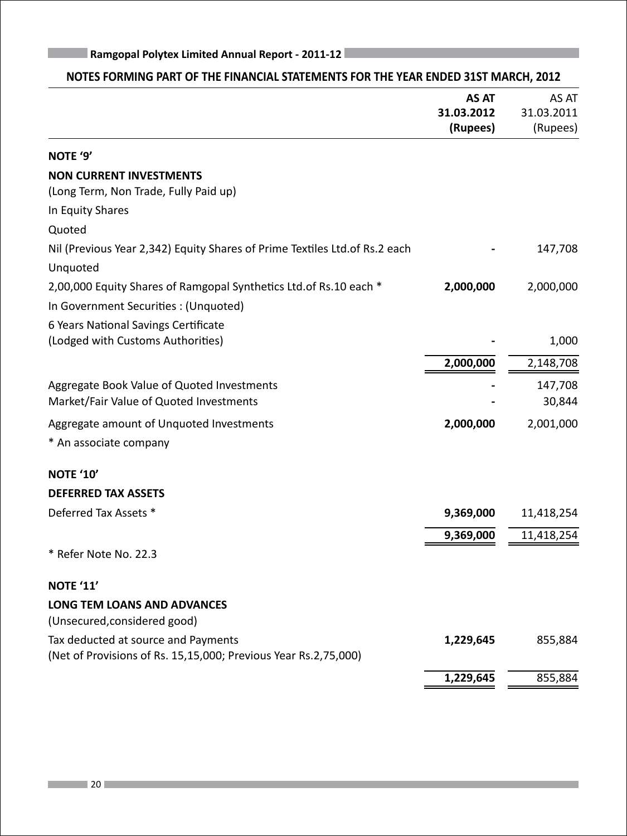| <b>Ramgopal Polytex Limited Annual Report - 2011-12</b>                            |              |            |
|------------------------------------------------------------------------------------|--------------|------------|
| NOTES FORMING PART OF THE FINANCIAL STATEMENTS FOR THE YEAR ENDED 31ST MARCH, 2012 |              |            |
|                                                                                    | <b>AS AT</b> | AS AT      |
|                                                                                    | 31.03.2012   | 31.03.2011 |
|                                                                                    | (Rupees)     | (Rupees)   |
| NOTE '9'                                                                           |              |            |
| <b>NON CURRENT INVESTMENTS</b>                                                     |              |            |
| (Long Term, Non Trade, Fully Paid up)                                              |              |            |
| In Equity Shares                                                                   |              |            |
| Quoted                                                                             |              |            |
| Nil (Previous Year 2,342) Equity Shares of Prime Textiles Ltd. of Rs. 2 each       |              | 147,708    |
| Unquoted                                                                           |              |            |
| 2,00,000 Equity Shares of Ramgopal Synthetics Ltd. of Rs. 10 each *                | 2,000,000    | 2,000,000  |
| In Government Securities : (Unquoted)                                              |              |            |
| 6 Years National Savings Certificate                                               |              |            |
| (Lodged with Customs Authorities)                                                  |              | 1,000      |
|                                                                                    | 2,000,000    | 2,148,708  |
| Aggregate Book Value of Quoted Investments                                         |              | 147,708    |
| Market/Fair Value of Quoted Investments                                            |              | 30,844     |
| Aggregate amount of Unquoted Investments                                           | 2,000,000    | 2,001,000  |
| * An associate company                                                             |              |            |
| <b>NOTE '10'</b>                                                                   |              |            |
| <b>DEFERRED TAX ASSETS</b>                                                         |              |            |
| Deferred Tax Assets *                                                              | 9,369,000    | 11,418,254 |
|                                                                                    | 9,369,000    | 11,418,254 |
| * Refer Note No. 22.3                                                              |              |            |
| <b>NOTE '11'</b>                                                                   |              |            |
| LONG TEM LOANS AND ADVANCES                                                        |              |            |
| (Unsecured, considered good)                                                       |              |            |
| Tax deducted at source and Payments                                                | 1,229,645    | 855,884    |
| (Net of Provisions of Rs. 15,15,000; Previous Year Rs.2,75,000)                    |              |            |
|                                                                                    | 1,229,645    | 855,884    |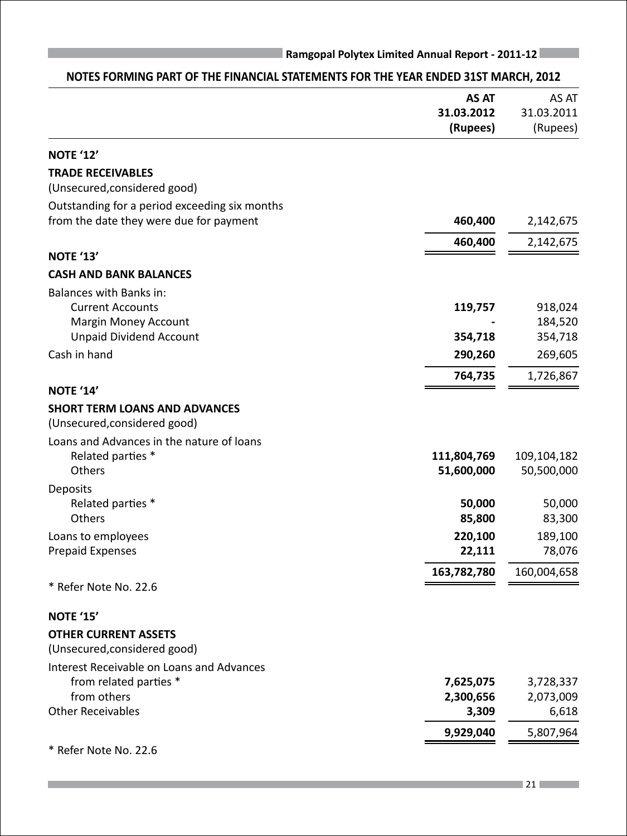|                                               | <b>AS AT</b> | AS AT       |
|-----------------------------------------------|--------------|-------------|
|                                               | 31.03.2012   | 31.03.2011  |
|                                               | (Rupees)     | (Rupees)    |
| <b>NOTE '12'</b>                              |              |             |
| <b>TRADE RECEIVABLES</b>                      |              |             |
| (Unsecured, considered good)                  |              |             |
| Outstanding for a period exceeding six months |              |             |
| from the date they were due for payment       | 460,400      | 2,142,675   |
|                                               | 460,400      | 2,142,675   |
| <b>NOTE '13'</b>                              |              |             |
| <b>CASH AND BANK BALANCES</b>                 |              |             |
| Balances with Banks in:                       |              |             |
| <b>Current Accounts</b>                       | 119,757      | 918,024     |
| Margin Money Account                          |              | 184,520     |
| <b>Unpaid Dividend Account</b>                | 354,718      | 354,718     |
| Cash in hand                                  | 290,260      | 269,605     |
|                                               | 764,735      | 1,726,867   |
| <b>NOTE '14'</b>                              |              |             |
| <b>SHORT TERM LOANS AND ADVANCES</b>          |              |             |
| (Unsecured, considered good)                  |              |             |
| Loans and Advances in the nature of loans     |              |             |
| Related parties *                             | 111,804,769  | 109,104,182 |
| Others                                        | 51,600,000   | 50,500,000  |
| Deposits                                      |              |             |
| Related parties *                             | 50,000       | 50,000      |
| Others                                        | 85,800       | 83,300      |
| Loans to employees                            | 220,100      | 189,100     |
| <b>Prepaid Expenses</b>                       | 22,111       | 78,076      |
|                                               | 163,782,780  | 160,004,658 |
| * Refer Note No. 22.6                         |              |             |
| <b>NOTE '15'</b>                              |              |             |
| <b>OTHER CURRENT ASSETS</b>                   |              |             |
| (Unsecured, considered good)                  |              |             |
| Interest Receivable on Loans and Advances     |              |             |
| from related parties *                        | 7,625,075    | 3,728,337   |
| from others                                   | 2,300,656    | 2,073,009   |
| <b>Other Receivables</b>                      | 3,309        | 6,618       |
|                                               | 9,929,040    | 5,807,964   |
| * Refer Note No. 22.6                         |              |             |

### **NOTES FORMING PART OF THE FINANCIAL STATEMENTS FOR THE YEAR ENDED 31ST MARCH, 2012**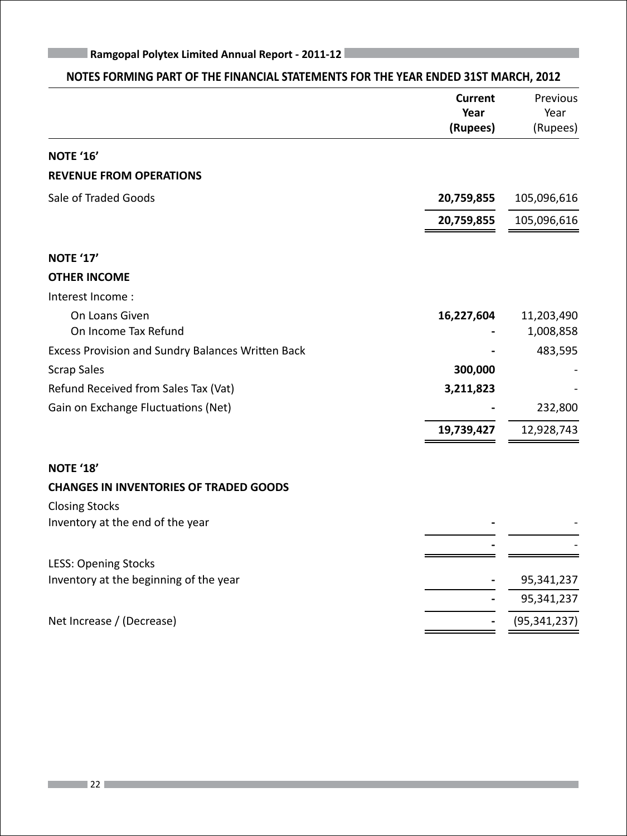|                                                   | <b>Current</b><br>Year<br>(Rupees) | Previous<br>Year<br>(Rupees) |
|---------------------------------------------------|------------------------------------|------------------------------|
| <b>NOTE '16'</b>                                  |                                    |                              |
| <b>REVENUE FROM OPERATIONS</b>                    |                                    |                              |
| Sale of Traded Goods                              | 20,759,855                         | 105,096,616                  |
|                                                   | 20,759,855                         | 105,096,616                  |
| <b>NOTE '17'</b>                                  |                                    |                              |
| <b>OTHER INCOME</b>                               |                                    |                              |
| Interest Income:                                  |                                    |                              |
| On Loans Given                                    | 16,227,604                         | 11,203,490                   |
| On Income Tax Refund                              |                                    | 1,008,858                    |
| Excess Provision and Sundry Balances Written Back |                                    | 483,595                      |
| <b>Scrap Sales</b>                                | 300,000                            |                              |
| Refund Received from Sales Tax (Vat)              | 3,211,823                          |                              |
| Gain on Exchange Fluctuations (Net)               |                                    | 232,800                      |
|                                                   | 19,739,427                         | 12,928,743                   |
| NOTE '18'                                         |                                    |                              |
| <b>CHANGES IN INVENTORIES OF TRADED GOODS</b>     |                                    |                              |
| <b>Closing Stocks</b>                             |                                    |                              |
| Inventory at the end of the year                  |                                    |                              |
| <b>LESS: Opening Stocks</b>                       |                                    |                              |
| Inventory at the beginning of the year            |                                    | 95,341,237                   |
|                                                   |                                    | 95,341,237                   |
| Net Increase / (Decrease)                         |                                    | (95, 341, 237)               |

### **NOTES FORMING PART OF THE FINANCIAL STATEMENTS FOR THE YEAR ENDED 31ST MARCH, 2012**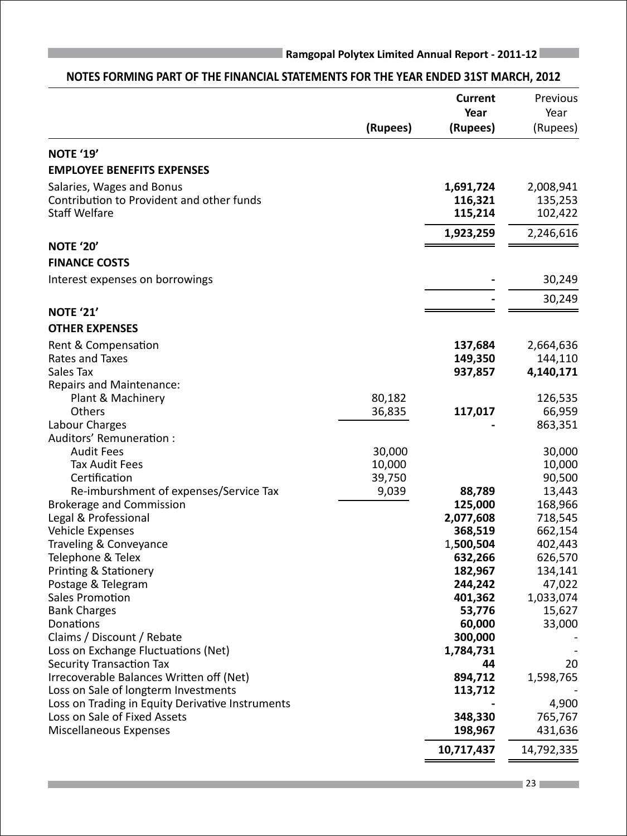# **Current** Previous *Year* Year **Year** Year **(Rupees) (Rupees)** (Rupees) **NOTE '19' EMPLOYEE BENEFITS EXPENSES** Salaries, Wages and Bonus **1,691,724** 2,008,941 Contribution to Provident and other funds **116,321** 135,253 Staff Welfare **115,214** 102,422 **1,923,259** 2,246,616 **NOTE '20' FINANCE COSTS** Interest expenses on borrowings **-** 30,249 **-** 30,249 **NOTE '21' OTHER EXPENSES** Rent & Compensation **137,684** 2,664,636 Rates and Taxes **149,350** 144,110 Sales Tax **937,857 4,140,171**  Repairs and Maintenance: Plant & Machinery 20,182 20,182 20,182 20,1835 Auditors' Remuneration :

### **NOTES FORMING PART OF THE FINANCIAL STATEMENTS FOR THE YEAR ENDED 31ST MARCH, 2012**

| Others                                           | 36,835<br>117,017 | 66,959     |
|--------------------------------------------------|-------------------|------------|
| Labour Charges                                   |                   | 863,351    |
| Auditors' Remuneration :                         |                   |            |
| <b>Audit Fees</b>                                | 30,000            | 30,000     |
| <b>Tax Audit Fees</b>                            | 10,000            | 10,000     |
| Certification                                    | 39,750            | 90,500     |
| Re-imburshment of expenses/Service Tax           | 9,039<br>88,789   | 13,443     |
| <b>Brokerage and Commission</b>                  | 125,000           | 168,966    |
| Legal & Professional                             | 2,077,608         | 718,545    |
| Vehicle Expenses                                 | 368,519           | 662,154    |
| Traveling & Conveyance                           | 1,500,504         | 402,443    |
| Telephone & Telex                                | 632,266           | 626,570    |
| Printing & Stationery                            | 182,967           | 134,141    |
| Postage & Telegram                               | 244,242           | 47,022     |
| Sales Promotion                                  | 401,362           | 1,033,074  |
| <b>Bank Charges</b>                              | 53,776            | 15,627     |
| Donations                                        | 60,000            | 33,000     |
| Claims / Discount / Rebate                       | 300,000           |            |
| Loss on Exchange Fluctuations (Net)              | 1,784,731         |            |
| <b>Security Transaction Tax</b>                  | 44                | 20         |
| Irrecoverable Balances Written off (Net)         | 894,712           | 1,598,765  |
| Loss on Sale of longterm Investments             | 113,712           |            |
| Loss on Trading in Equity Derivative Instruments |                   | 4,900      |
| Loss on Sale of Fixed Assets                     | 348,330           | 765,767    |
| Miscellaneous Expenses                           | 198,967           | 431,636    |
|                                                  | 10,717,437        | 14,792,335 |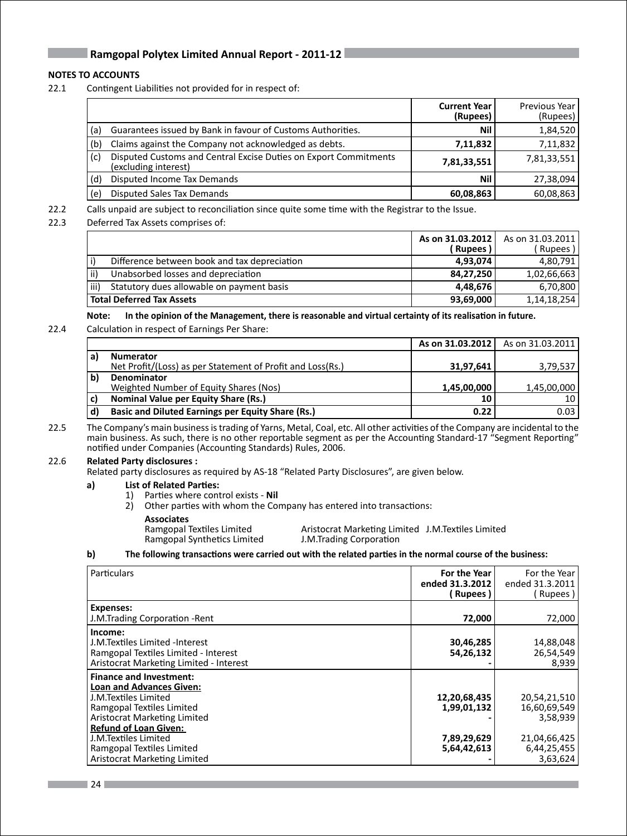### **NOTES TO ACCOUNTS**

22.1 Contingent Liabilities not provided for in respect of:

|     |                                                                                          | <b>Current Year</b><br>(Rupees) | Previous Year<br>(Rupees) |
|-----|------------------------------------------------------------------------------------------|---------------------------------|---------------------------|
| (a) | Guarantees issued by Bank in favour of Customs Authorities.                              | Nil                             | 1,84,520                  |
| (b) | Claims against the Company not acknowledged as debts.                                    | 7,11,832                        | 7,11,832                  |
| (c) | Disputed Customs and Central Excise Duties on Export Commitments<br>(excluding interest) | 7,81,33,551                     | 7,81,33,551               |
| (d) | Disputed Income Tax Demands                                                              | Nil                             | 27,38,094                 |
| (e) | Disputed Sales Tax Demands                                                               | 60,08,863                       | 60,08,863                 |

22.2 Calls unpaid are subject to reconciliation since quite some time with the Registrar to the Issue.

22.3 Deferred Tax Assets comprises of:

|      |                                              | As on 31.03.2012<br>(Rupees ) | As on 31.03.2011 l<br>Rupees) |
|------|----------------------------------------------|-------------------------------|-------------------------------|
|      | Difference between book and tax depreciation | 4,93,074                      | 4,80,791                      |
| ii)  | Unabsorbed losses and depreciation           | 84,27,250                     | 1,02,66,663                   |
| iii) | Statutory dues allowable on payment basis    | 4.48.676                      | 6,70,800                      |
|      | Total Deferred Tax Assets                    | 93,69,000                     | 1,14,18,254                   |

Note: In the opinion of the Management, there is reasonable and virtual certainty of its realisation in future.

22.4 Calculation in respect of Earnings Per Share:

|              |                                                            | As on 31.03.2012 | As on 31.03.2011 |
|--------------|------------------------------------------------------------|------------------|------------------|
| a)           | <b>Numerator</b>                                           |                  |                  |
|              | Net Profit/(Loss) as per Statement of Profit and Loss(Rs.) | 31,97,641        | 3,79,537         |
| $\mathbf{b}$ | <b>Denominator</b>                                         |                  |                  |
|              | Weighted Number of Equity Shares (Nos)                     | 1,45,00,000      | 1,45,00,000      |
| c)           | <b>Nominal Value per Equity Share (Rs.)</b>                | 10               | 10               |
| . d)         | <b>Basic and Diluted Earnings per Equity Share (Rs.)</b>   | 0.22             | 0.03             |

22.5 The Company's main business is trading of Yarns, Metal, Coal, etc. All other activities of the Company are incidental to the main business. As such, there is no other reportable segment as per the Accounting Standard-17 "Segment Reporting" notified under Companies (Accounting Standards) Rules, 2006.

### 22.6 **Related Party disclosures :**

Related party disclosures as required by AS-18 "Related Party Disclosures", are given below.

### **a) List of Related Parties:**

- 1) Parties where control exists **Nil**
- 2) Other parties with whom the Company has entered into transactions:

 **Associates** Ramgopal Synthetics Limited

Aristocrat Marketing Limited J.M.Textiles Limited J.M.Trading Corporation

### b) The following transactions were carried out with the related parties in the normal course of the business:

| Particulars                                                                                                                                                                            | For the Year<br>ended 31.3.2012<br>( Rupees ) | For the Year<br>ended 31.3.2011<br>Rupees ) |
|----------------------------------------------------------------------------------------------------------------------------------------------------------------------------------------|-----------------------------------------------|---------------------------------------------|
| Expenses:<br>J.M.Trading Corporation - Rent                                                                                                                                            | 72,000                                        | 72,000                                      |
| Income:<br>J.M.Textiles Limited -Interest<br>Ramgopal Textiles Limited - Interest<br>Aristocrat Marketing Limited - Interest                                                           | 30,46,285<br>54,26,132                        | 14,88,048<br>26,54,549<br>8,939             |
| <b>Finance and Investment:</b><br><b>Loan and Advances Given:</b><br>J.M.Textiles Limited<br>Ramgopal Textiles Limited<br>Aristocrat Marketing Limited<br><b>Refund of Loan Given:</b> | 12,20,68,435<br>1,99,01,132                   | 20,54,21,510<br>16,60,69,549<br>3,58,939    |
| J.M.Textiles Limited<br>Ramgopal Textiles Limited<br>Aristocrat Marketing Limited                                                                                                      | 7,89,29,629<br>5,64,42,613                    | 21,04,66,425<br>6,44,25,455<br>3,63,624     |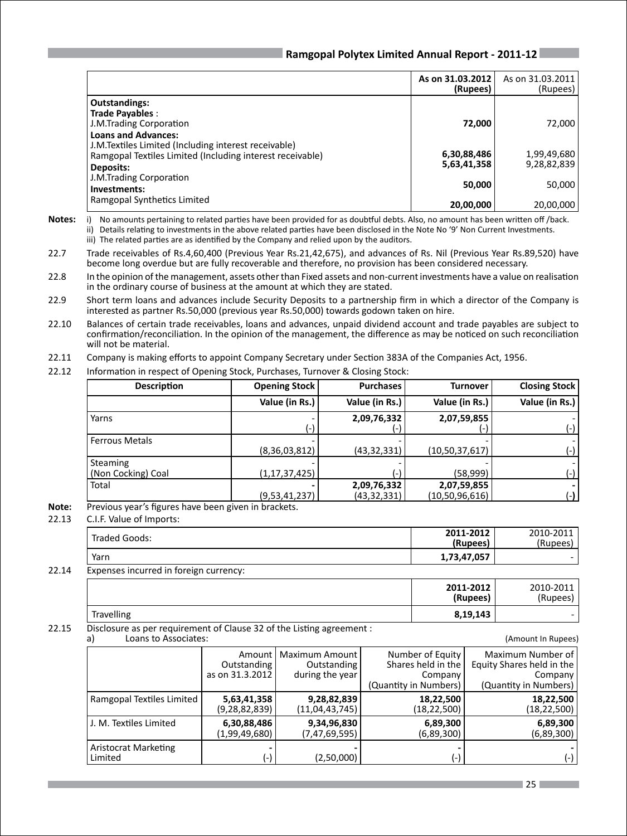|                                                                                                                                                 | As on 31.03.2012<br>(Rupees) | As on 31.03.2011<br>(Rupees) |
|-------------------------------------------------------------------------------------------------------------------------------------------------|------------------------------|------------------------------|
| <b>Outstandings:</b><br>Trade Payables :<br>J.M.Trading Corporation                                                                             | 72,000                       | 72,000                       |
| <b>Loans and Advances:</b><br>J.M.Textiles Limited (Including interest receivable)<br>Ramgopal Textiles Limited (Including interest receivable) | 6,30,88,486                  | 1,99,49,680                  |
| Deposits:<br>J.M.Trading Corporation<br>Investments:                                                                                            | 5,63,41,358<br>50,000        | 9,28,82,839<br>50,000        |
| Ramgopal Synthetics Limited                                                                                                                     | 20,00,000                    | 20,00,000                    |

- **Notes:** i) No amounts pertaining to related parties have been provided for as doubtful debts. Also, no amount has been written off /back. ii) Details relating to investments in the above related parties have been disclosed in the Note No '9' Non Current Investments. iii) The related parties are as identified by the Company and relied upon by the auditors.
- 22.7 Trade receivables of Rs.4,60,400 (Previous Year Rs.21,42,675), and advances of Rs. Nil (Previous Year Rs.89,520) have become long overdue but are fully recoverable and therefore, no provision has been considered necessary.
- 22.8 In the opinion of the management, assets other than Fixed assets and non-current investments have a value on realisation in the ordinary course of business at the amount at which they are stated.
- 22.9 Short term loans and advances include Security Deposits to a partnership firm in which a director of the Company is interested as partner Rs.50,000 (previous year Rs.50,000) towards godown taken on hire.
- 22.10 Balances of certain trade receivables, loans and advances, unpaid dividend account and trade payables are subject to confirmation/reconciliation. In the opinion of the management, the difference as may be noticed on such reconciliation will not be material.
- 22.11 Company is making efforts to appoint Company Secretary under Section 383A of the Companies Act, 1956.
- 22.12 Information in respect of Opening Stock, Purchases, Turnover & Closing Stock:

| <b>Description</b>             | <b>Opening Stock</b> | <b>Purchases</b>           | <b>Turnover</b>               | <b>Closing Stock</b> |
|--------------------------------|----------------------|----------------------------|-------------------------------|----------------------|
|                                | Value (in Rs.)       | Value (in Rs.)             | Value (in Rs.)                | Value (in Rs.)       |
| Yarns                          |                      | 2,09,76,332                | 2,07,59,855                   |                      |
| l Ferrous Metals               | (8,36,03,812)        | (43, 32, 331)              | (10,50,37,617)                |                      |
| Steaming<br>(Non Cocking) Coal | (1, 17, 37, 425)     |                            | (58,999)                      |                      |
| Total                          | (9,53,41,237)        | 2,09,76,332<br>(43,32,331) | 2,07,59,855<br>(10,50,96,616) | (-)                  |

- **Note:** Previous year's figures have been given in brackets.
- 22.13 C.I.F. Value of Imports:

| Traded Goods: | 2011-2012<br>(Rupees) | 2010-2011<br>(Rupees) |
|---------------|-----------------------|-----------------------|
| Yarn          | 1,73,47,057           |                       |
|               |                       |                       |

### 22.14 Expenses incurred in foreign currency:

|       |                                                                       | 2011-2012<br>(Rupees) | 2010-2011<br>(Rupees) |
|-------|-----------------------------------------------------------------------|-----------------------|-----------------------|
|       | <b>Travelling</b>                                                     | 8,19,143              |                       |
| 22.15 | Disclosure as per requirement of Clause 32 of the Listing agreement : |                       |                       |

| Loans to Associates:<br>a)      |                                          |                                                  |                                                                            | (Amount In Rupees)                                                                 |
|---------------------------------|------------------------------------------|--------------------------------------------------|----------------------------------------------------------------------------|------------------------------------------------------------------------------------|
|                                 | Amount<br>Outstanding<br>as on 31.3.2012 | Maximum Amount<br>Outstanding<br>during the year | Number of Equity<br>Shares held in the<br>Company<br>(Quantity in Numbers) | Maximum Number of<br>Equity Shares held in the<br>Company<br>(Quantity in Numbers) |
| Ramgopal Textiles Limited       | 5,63,41,358<br>(9,28,82,839)             | 9,28,82,839<br>(11,04,43,745)                    | 18,22,500<br>(18, 22, 500)                                                 | 18,22,500<br>(18, 22, 500)                                                         |
| J. M. Textiles Limited          | 6,30,88,486<br>(1,99,49,680)             | 9,34,96,830<br>(7, 47, 69, 595)                  | 6,89,300<br>(6,89,300)                                                     | 6,89,300<br>(6,89,300)                                                             |
| Aristocrat Marketing<br>Limited | (-)                                      | (2,50,000)                                       | (-)                                                                        |                                                                                    |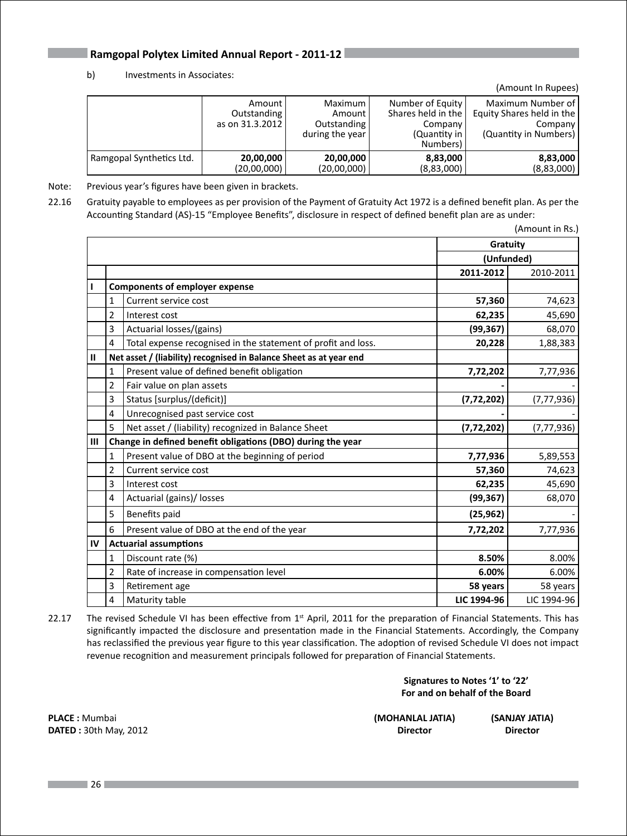### b) Investments in Associates:

|                          |                                          |                                                         |                                                                                 | (Amount In Rupees)                                                                 |
|--------------------------|------------------------------------------|---------------------------------------------------------|---------------------------------------------------------------------------------|------------------------------------------------------------------------------------|
|                          | Amount<br>Outstanding<br>as on 31.3.2012 | Maximum l<br>Amount I<br>Outstanding<br>during the year | Number of Equity<br>Shares held in the l<br>Company<br>(Quantity in<br>Numbers) | Maximum Number of<br>Equity Shares held in the<br>Company<br>(Quantity in Numbers) |
| Ramgopal Synthetics Ltd. | 20,00,000<br>(20,00,000)                 | 20,00,000<br>(20,00,000)                                | 8,83,000<br>(8,83,000)                                                          | 8,83,000<br>(8,83,000)                                                             |

Note: Previous year's figures have been given in brackets.

22.16 Gratuity payable to employees as per provision of the Payment of Gratuity Act 1972 is a defined benefit plan. As per the Accounting Standard (AS)-15 "Employee Benefits", disclosure in respect of defined benefit plan are as under:

|               |                |                                                                    |              | (Amount in Rs.) |
|---------------|----------------|--------------------------------------------------------------------|--------------|-----------------|
|               |                |                                                                    | Gratuity     |                 |
|               |                |                                                                    | (Unfunded)   |                 |
|               |                |                                                                    | 2011-2012    | 2010-2011       |
| $\mathbf{I}$  |                | <b>Components of employer expense</b>                              |              |                 |
|               | $\mathbf{1}$   | Current service cost                                               | 57,360       | 74,623          |
|               | $\overline{2}$ | Interest cost                                                      | 62,235       | 45,690          |
|               | 3              | Actuarial losses/(gains)                                           | (99, 367)    | 68,070          |
|               | 4              | Total expense recognised in the statement of profit and loss.      | 20,228       | 1,88,383        |
| $\mathbf{II}$ |                | Net asset / (liability) recognised in Balance Sheet as at year end |              |                 |
|               | 1              | Present value of defined benefit obligation                        | 7,72,202     | 7,77,936        |
|               | $\overline{2}$ | Fair value on plan assets                                          |              |                 |
|               | 3              | Status [surplus/(deficit)]                                         | (7, 72, 202) | (7, 77, 936)    |
|               | 4              | Unrecognised past service cost                                     |              |                 |
|               | 5              | Net asset / (liability) recognized in Balance Sheet                | (7, 72, 202) | (7,77,936)      |
| Ш             |                | Change in defined benefit obligations (DBO) during the year        |              |                 |
|               | 1              | Present value of DBO at the beginning of period                    | 7,77,936     | 5,89,553        |
|               | 2              | Current service cost                                               | 57,360       | 74,623          |
|               | 3              | Interest cost                                                      | 62,235       | 45,690          |
|               | 4              | Actuarial (gains)/ losses                                          | (99, 367)    | 68,070          |
|               | 5              | Benefits paid                                                      | (25, 962)    |                 |
|               | 6              | Present value of DBO at the end of the year                        | 7,72,202     | 7,77,936        |
| IV            |                | <b>Actuarial assumptions</b>                                       |              |                 |
|               | 1              | Discount rate (%)                                                  | 8.50%        | 8.00%           |
|               | $\overline{2}$ | Rate of increase in compensation level                             | 6.00%        | 6.00%           |
|               | 3              | Retirement age                                                     | 58 years     | 58 years        |
|               | 4              | Maturity table                                                     | LIC 1994-96  | LIC 1994-96     |

22.17 The revised Schedule VI has been effective from  $1<sup>st</sup>$  April, 2011 for the preparation of Financial Statements. This has significantly impacted the disclosure and presentation made in the Financial Statements. Accordingly, the Company has reclassified the previous year figure to this year classification. The adoption of revised Schedule VI does not impact revenue recognition and measurement principals followed for preparation of Financial Statements.

### **Signatures to Notes '1' to '22' For and on behalf of the Board**

**PLACE :** Mumbai **(MOHANLAL JATIA) (SANJAY JATIA) DATED** : 30th May, 2012 **Director** Director **Director** Director **Director**